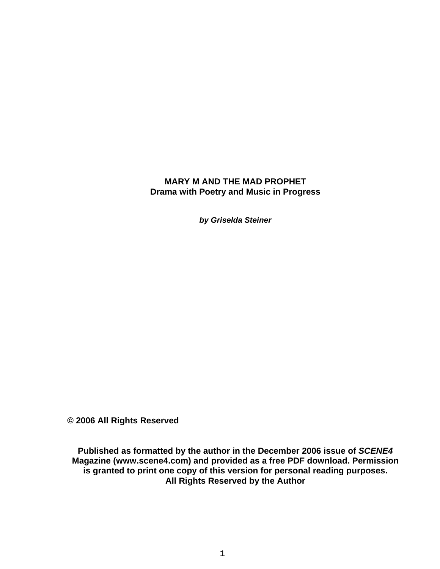## **MARY M AND THE MAD PROPHET Drama with Poetry and Music in Progress**

*by Griselda Steiner*

**© 2006 All Rights Reserved** 

**Published as formatted by the author in the December 2006 issue of** *SCENE4* **Magazine (www.scene4.com) and provided as a free PDF download. Permission is granted to print one copy of this version for personal reading purposes. All Rights Reserved by the Author**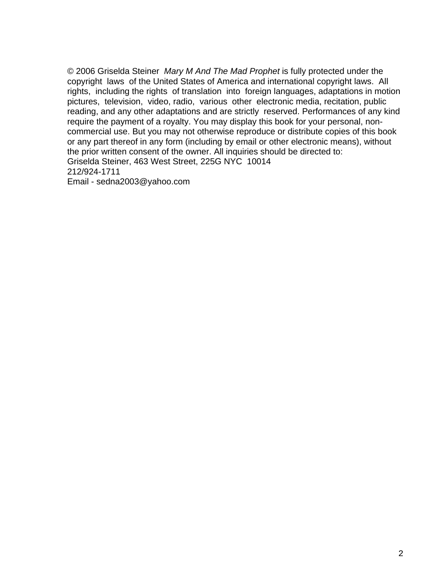© 2006 Griselda Steiner *Mary M And The Mad Prophet* is fully protected under the copyright laws of the United States of America and international copyright laws. All rights, including the rights of translation into foreign languages, adaptations in motion pictures, television, video, radio, various other electronic media, recitation, public reading, and any other adaptations and are strictly reserved. Performances of any kind require the payment of a royalty. You may display this book for your personal, noncommercial use. But you may not otherwise reproduce or distribute copies of this book or any part thereof in any form (including by email or other electronic means), without the prior written consent of the owner. All inquiries should be directed to: Griselda Steiner, 463 West Street, 225G NYC 10014 212/924-1711

Email - sedna2003@yahoo.com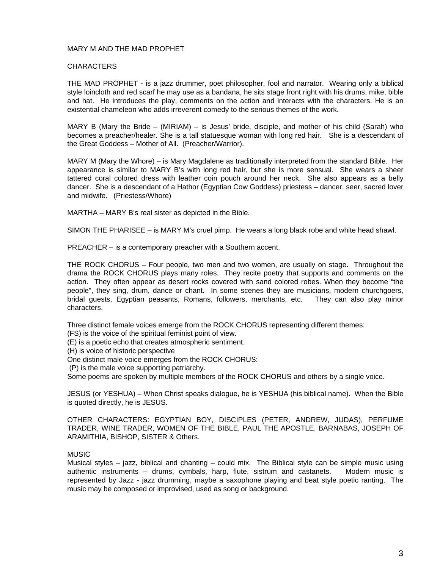#### MARY M AND THE MAD PROPHET

#### **CHARACTERS**

THE MAD PROPHET - is a jazz drummer, poet philosopher, fool and narrator. Wearing only a biblical style loincloth and red scarf he may use as a bandana, he sits stage front right with his drums, mike, bible and hat. He introduces the play, comments on the action and interacts with the characters. He is an existential chameleon who adds irreverent comedy to the serious themes of the work.

MARY B (Mary the Bride – (MIRIAM) – is Jesus' bride, disciple, and mother of his child (Sarah) who becomes a preacher/healer. She is a tall statuesque woman with long red hair. She is a descendant of the Great Goddess – Mother of All. (Preacher/Warrior).

MARY M (Mary the Whore) – is Mary Magdalene as traditionally interpreted from the standard Bible. Her appearance is similar to MARY B's with long red hair, but she is more sensual. She wears a sheer tattered coral colored dress with leather coin pouch around her neck. She also appears as a belly dancer. She is a descendant of a Hathor (Egyptian Cow Goddess) priestess – dancer, seer, sacred lover and midwife. (Priestess/Whore)

MARTHA – MARY B's real sister as depicted in the Bible.

SIMON THE PHARISEE – is MARY M's cruel pimp. He wears a long black robe and white head shawl.

PREACHER – is a contemporary preacher with a Southern accent.

THE ROCK CHORUS – Four people, two men and two women, are usually on stage. Throughout the drama the ROCK CHORUS plays many roles. They recite poetry that supports and comments on the action. They often appear as desert rocks covered with sand colored robes. When they become "the people", they sing, drum, dance or chant. In some scenes they are musicians, modern churchgoers, bridal guests, Egyptian peasants, Romans, followers, merchants, etc. They can also play minor characters.

Three distinct female voices emerge from the ROCK CHORUS representing different themes:

- (FS) is the voice of the spiritual feminist point of view.
- (E) is a poetic echo that creates atmospheric sentiment.
- (H) is voice of historic perspective
- One distinct male voice emerges from the ROCK CHORUS:
- (P) is the male voice supporting patriarchy.

Some poems are spoken by multiple members of the ROCK CHORUS and others by a single voice.

JESUS (or YESHUA) – When Christ speaks dialogue, he is YESHUA (his biblical name). When the Bible is quoted directly, he is JESUS.

OTHER CHARACTERS: EGYPTIAN BOY, DISCIPLES (PETER, ANDREW, JUDAS), PERFUME TRADER, WINE TRADER, WOMEN OF THE BIBLE, PAUL THE APOSTLE, BARNABAS, JOSEPH OF ARAMITHIA, BISHOP, SISTER & Others.

#### MUSIC

Musical styles – jazz, biblical and chanting – could mix. The Biblical style can be simple music using authentic instruments – drums, cymbals, harp, flute, sistrum and castanets. Modern music is represented by Jazz - jazz drumming, maybe a saxophone playing and beat style poetic ranting. The music may be composed or improvised, used as song or background.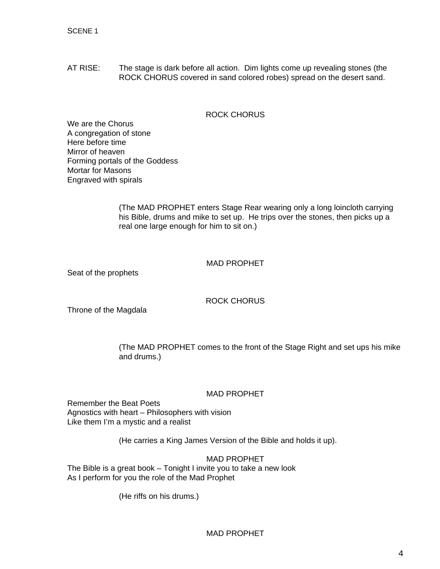AT RISE: The stage is dark before all action. Dim lights come up revealing stones (the ROCK CHORUS covered in sand colored robes) spread on the desert sand.

## ROCK CHORUS

We are the Chorus A congregation of stone Here before time Mirror of heaven Forming portals of the Goddess Mortar for Masons Engraved with spirals

> (The MAD PROPHET enters Stage Rear wearing only a long loincloth carrying his Bible, drums and mike to set up. He trips over the stones, then picks up a real one large enough for him to sit on.)

## MAD PROPHET

Seat of the prophets

ROCK CHORUS

Throne of the Magdala

(The MAD PROPHET comes to the front of the Stage Right and set ups his mike and drums.)

## MAD PROPHET

Remember the Beat Poets Agnostics with heart – Philosophers with vision Like them I'm a mystic and a realist

(He carries a King James Version of the Bible and holds it up).

MAD PROPHET

The Bible is a great book – Tonight I invite you to take a new look As I perform for you the role of the Mad Prophet

(He riffs on his drums.)

MAD PROPHET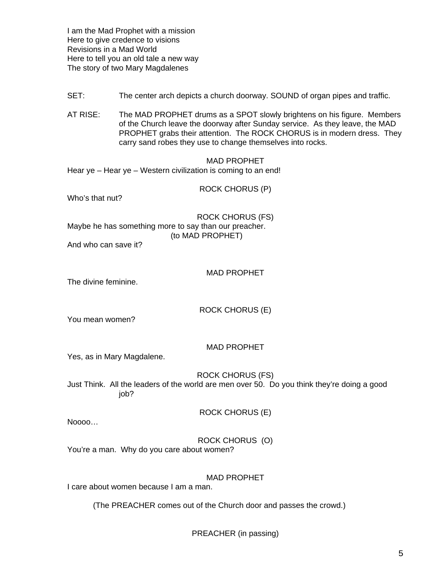I am the Mad Prophet with a mission Here to give credence to visions Revisions in a Mad World Here to tell you an old tale a new way The story of two Mary Magdalenes

- SET: The center arch depicts a church doorway. SOUND of organ pipes and traffic.
- AT RISE: The MAD PROPHET drums as a SPOT slowly brightens on his figure. Members of the Church leave the doorway after Sunday service. As they leave, the MAD PROPHET grabs their attention. The ROCK CHORUS is in modern dress. They carry sand robes they use to change themselves into rocks.

#### MAD PROPHET

Hear ye – Hear ye – Western civilization is coming to an end!

ROCK CHORUS (P)

Who's that nut?

ROCK CHORUS (FS) Maybe he has something more to say than our preacher. (to MAD PROPHET)

And who can save it?

#### MAD PROPHET

The divine feminine.

ROCK CHORUS (E)

You mean women?

MAD PROPHET

Yes, as in Mary Magdalene.

ROCK CHORUS (FS)

Just Think. All the leaders of the world are men over 50. Do you think they're doing a good job?

ROCK CHORUS (E)

Noooo…

ROCK CHORUS (O)

You're a man. Why do you care about women?

MAD PROPHET

I care about women because I am a man.

(The PREACHER comes out of the Church door and passes the crowd.)

PREACHER (in passing)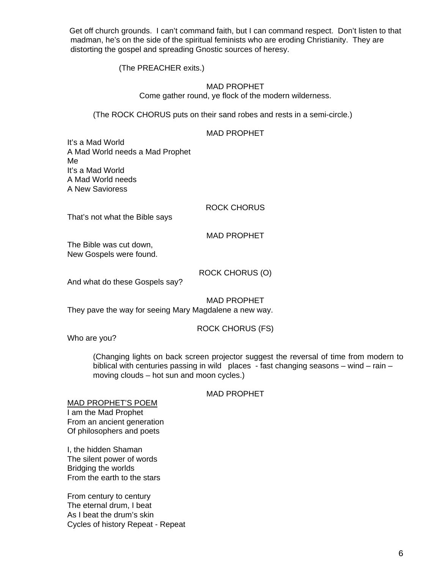Get off church grounds. I can't command faith, but I can command respect. Don't listen to that madman, he's on the side of the spiritual feminists who are eroding Christianity. They are distorting the gospel and spreading Gnostic sources of heresy.

(The PREACHER exits.)

## MAD PROPHET Come gather round, ye flock of the modern wilderness.

(The ROCK CHORUS puts on their sand robes and rests in a semi-circle.)

## MAD PROPHET

It's a Mad World A Mad World needs a Mad Prophet Me It's a Mad World A Mad World needs A New Savioress

## ROCK CHORUS

That's not what the Bible says

## MAD PROPHET

The Bible was cut down, New Gospels were found.

## ROCK CHORUS (O)

And what do these Gospels say?

MAD PROPHET They pave the way for seeing Mary Magdalene a new way.

## ROCK CHORUS (FS)

Who are you?

(Changing lights on back screen projector suggest the reversal of time from modern to biblical with centuries passing in wild places - fast changing seasons – wind – rain – moving clouds – hot sun and moon cycles.)

## MAD PROPHET

MAD PROPHET'S POEM I am the Mad Prophet From an ancient generation Of philosophers and poets

I, the hidden Shaman The silent power of words Bridging the worlds From the earth to the stars

From century to century The eternal drum, I beat As I beat the drum's skin Cycles of history Repeat - Repeat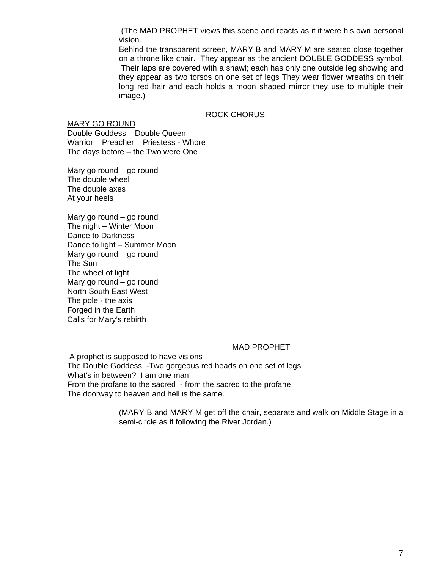(The MAD PROPHET views this scene and reacts as if it were his own personal vision.

 Behind the transparent screen, MARY B and MARY M are seated close together on a throne like chair. They appear as the ancient DOUBLE GODDESS symbol. Their laps are covered with a shawl; each has only one outside leg showing and they appear as two torsos on one set of legs They wear flower wreaths on their long red hair and each holds a moon shaped mirror they use to multiple their image.)

## ROCK CHORUS

MARY GO ROUND Double Goddess – Double Queen Warrior – Preacher – Priestess - Whore The days before – the Two were One

Mary go round – go round The double wheel The double axes At your heels

Mary go round – go round The night – Winter Moon Dance to Darkness Dance to light – Summer Moon Mary go round – go round The Sun The wheel of light Mary go round – go round North South East West The pole - the axis Forged in the Earth Calls for Mary's rebirth

## MAD PROPHET

 A prophet is supposed to have visions The Double Goddess -Two gorgeous red heads on one set of legs What's in between? I am one man From the profane to the sacred - from the sacred to the profane The doorway to heaven and hell is the same.

> (MARY B and MARY M get off the chair, separate and walk on Middle Stage in a semi-circle as if following the River Jordan.)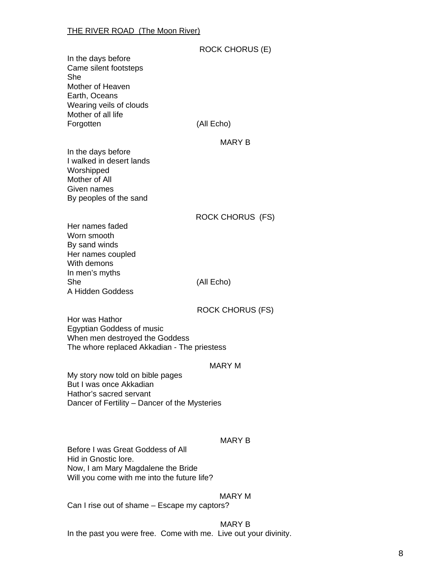|                                                                                                                                         | <b>ROCK CHORUS (E)</b>  |
|-----------------------------------------------------------------------------------------------------------------------------------------|-------------------------|
| In the days before<br>Came silent footsteps<br>She                                                                                      |                         |
| Mother of Heaven<br>Earth, Oceans<br>Wearing veils of clouds                                                                            |                         |
| Mother of all life<br>Forgotten                                                                                                         | (All Echo)              |
| In the days before                                                                                                                      | <b>MARY B</b>           |
| I walked in desert lands<br>Worshipped<br>Mother of All                                                                                 |                         |
| Given names<br>By peoples of the sand                                                                                                   |                         |
| Her names faded                                                                                                                         | <b>ROCK CHORUS (FS)</b> |
| Worn smooth<br>By sand winds<br>Her names coupled<br>With demons                                                                        |                         |
| In men's myths<br>She<br>A Hidden Goddess                                                                                               | (All Echo)              |
| Hor was Hathor                                                                                                                          | <b>ROCK CHORUS (FS)</b> |
| <b>Egyptian Goddess of music</b><br>When men destroyed the Goddess<br>The whore replaced Akkadian - The priestess                       |                         |
|                                                                                                                                         | <b>MARY M</b>           |
| My story now told on bible pages<br>But I was once Akkadian<br>Hathor's sacred servant<br>Dancer of Fertility – Dancer of the Mysteries |                         |
|                                                                                                                                         |                         |
| Before I was Great Goddess of All<br>Hid in Gnostic lore.                                                                               | <b>MARY B</b>           |
| Now, I am Mary Magdalene the Bride<br>Will you come with me into the future life?                                                       |                         |
| Can I rice out of chame Eccano my captors?                                                                                              | <b>MARY M</b>           |

Can I rise out of shame – Escape my captors?

# MARY B In the past you were free. Come with me. Live out your divinity.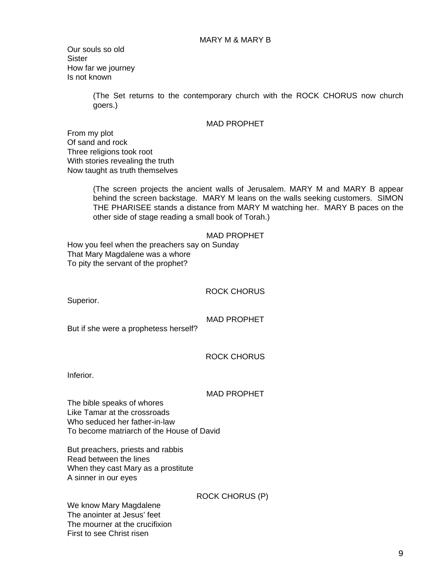Our souls so old **Sister** How far we journey Is not known

> (The Set returns to the contemporary church with the ROCK CHORUS now church goers.)

### MAD PROPHET

From my plot Of sand and rock Three religions took root With stories revealing the truth Now taught as truth themselves

> (The screen projects the ancient walls of Jerusalem. MARY M and MARY B appear behind the screen backstage. MARY M leans on the walls seeking customers. SIMON THE PHARISEE stands a distance from MARY M watching her. MARY B paces on the other side of stage reading a small book of Torah.)

#### MAD PROPHET

How you feel when the preachers say on Sunday That Mary Magdalene was a whore To pity the servant of the prophet?

ROCK CHORUS

Superior.

MAD PROPHET

But if she were a prophetess herself?

ROCK CHORUS

Inferior.

#### MAD PROPHET

The bible speaks of whores Like Tamar at the crossroads Who seduced her father-in-law To become matriarch of the House of David

But preachers, priests and rabbis Read between the lines When they cast Mary as a prostitute A sinner in our eyes

ROCK CHORUS (P)

We know Mary Magdalene The anointer at Jesus' feet The mourner at the crucifixion First to see Christ risen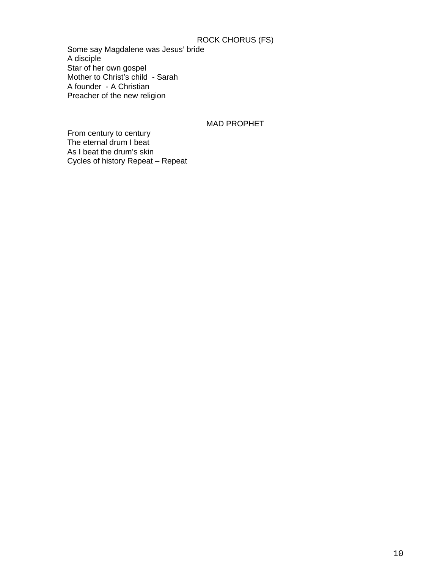# ROCK CHORUS (FS)

Some say Magdalene was Jesus' bride A disciple Star of her own gospel Mother to Christ's child - Sarah A founder - A Christian Preacher of the new religion

## MAD PROPHET

From century to century The eternal drum I beat As I beat the drum's skin Cycles of history Repeat – Repeat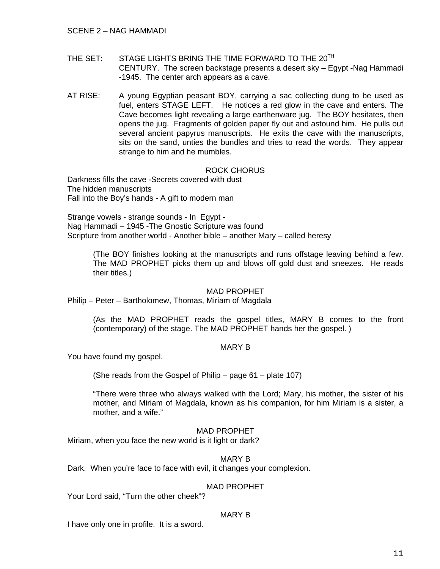- THE SET: STAGE LIGHTS BRING THE TIME FORWARD TO THE 20<sup>TH</sup> CENTURY. The screen backstage presents a desert sky – Egypt -Nag Hammadi -1945. The center arch appears as a cave.
- AT RISE: A young Egyptian peasant BOY, carrying a sac collecting dung to be used as fuel, enters STAGE LEFT. He notices a red glow in the cave and enters. The Cave becomes light revealing a large earthenware jug. The BOY hesitates, then opens the jug. Fragments of golden paper fly out and astound him. He pulls out several ancient papyrus manuscripts. He exits the cave with the manuscripts, sits on the sand, unties the bundles and tries to read the words. They appear strange to him and he mumbles.

## ROCK CHORUS

Darkness fills the cave -Secrets covered with dust The hidden manuscripts Fall into the Boy's hands - A gift to modern man

Strange vowels - strange sounds - In Egypt - Nag Hammadi – 1945 -The Gnostic Scripture was found Scripture from another world - Another bible – another Mary – called heresy

(The BOY finishes looking at the manuscripts and runs offstage leaving behind a few. The MAD PROPHET picks them up and blows off gold dust and sneezes. He reads their titles.)

## MAD PROPHET

Philip – Peter – Bartholomew, Thomas, Miriam of Magdala

(As the MAD PROPHET reads the gospel titles, MARY B comes to the front (contemporary) of the stage. The MAD PROPHET hands her the gospel. )

## MARY B

You have found my gospel.

(She reads from the Gospel of Philip – page 61 – plate 107)

"There were three who always walked with the Lord; Mary, his mother, the sister of his mother, and Miriam of Magdala, known as his companion, for him Miriam is a sister, a mother, and a wife."

## MAD PROPHET

Miriam, when you face the new world is it light or dark?

## MARY B

Dark. When you're face to face with evil, it changes your complexion.

## MAD PROPHET

Your Lord said, "Turn the other cheek"?

# MARY B

I have only one in profile. It is a sword.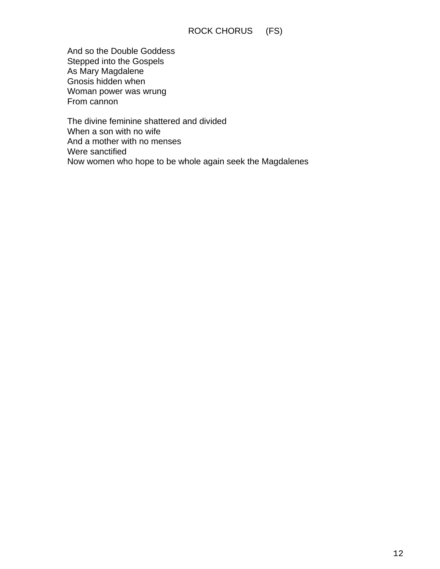# ROCK CHORUS (FS)

And so the Double Goddess Stepped into the Gospels As Mary Magdalene Gnosis hidden when Woman power was wrung From cannon

The divine feminine shattered and divided When a son with no wife And a mother with no menses Were sanctified Now women who hope to be whole again seek the Magdalenes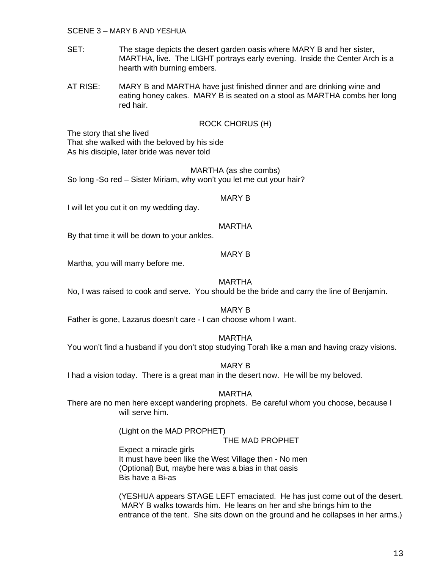SCENE 3 – MARY B AND YESHUA

- SET: The stage depicts the desert garden oasis where MARY B and her sister, MARTHA, live. The LIGHT portrays early evening. Inside the Center Arch is a hearth with burning embers.
- AT RISE: MARY B and MARTHA have just finished dinner and are drinking wine and eating honey cakes. MARY B is seated on a stool as MARTHA combs her long red hair.

## ROCK CHORUS (H)

The story that she lived

That she walked with the beloved by his side As his disciple, later bride was never told

## MARTHA (as she combs)

So long -So red – Sister Miriam, why won't you let me cut your hair?

## MARY B

I will let you cut it on my wedding day.

## MARTHA

By that time it will be down to your ankles.

## MARY B

Martha, you will marry before me.

## MARTHA

No, I was raised to cook and serve. You should be the bride and carry the line of Benjamin.

MARY B

Father is gone, Lazarus doesn't care - I can choose whom I want.

## MARTHA

You won't find a husband if you don't stop studying Torah like a man and having crazy visions.

## MARY B

I had a vision today. There is a great man in the desert now. He will be my beloved.

## MARTHA

There are no men here except wandering prophets. Be careful whom you choose, because I will serve him.

(Light on the MAD PROPHET)

## THE MAD PROPHET

Expect a miracle girls It must have been like the West Village then - No men (Optional) But, maybe here was a bias in that oasis Bis have a Bi-as

(YESHUA appears STAGE LEFT emaciated. He has just come out of the desert. MARY B walks towards him. He leans on her and she brings him to the entrance of the tent. She sits down on the ground and he collapses in her arms.)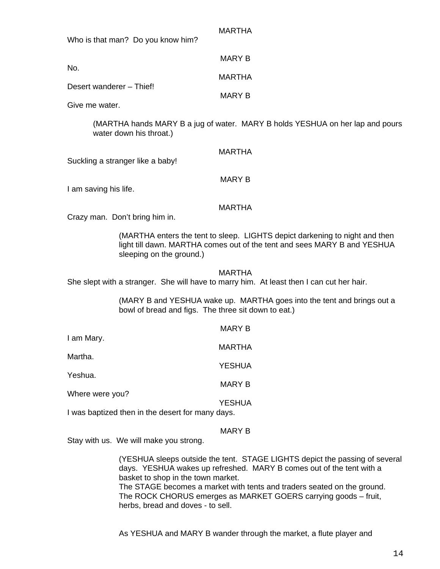| Who is that man? Do you know him? | MARIHA        |
|-----------------------------------|---------------|
| No.                               | MARY B        |
|                                   | MARTHA        |
| Desert wanderer – Thief!          | <b>MARY B</b> |
| Give me water.                    |               |

(MARTHA hands MARY B a jug of water. MARY B holds YESHUA on her lap and pours water down his throat.)

 $\ldots$ 

| Suckling a stranger like a baby!                                                                                              | <b>MARTHA</b>                                                                                                                                           |  |  |  |
|-------------------------------------------------------------------------------------------------------------------------------|---------------------------------------------------------------------------------------------------------------------------------------------------------|--|--|--|
| I am saving his life.                                                                                                         | <b>MARY B</b>                                                                                                                                           |  |  |  |
| Crazy man. Don't bring him in.                                                                                                | <b>MARTHA</b>                                                                                                                                           |  |  |  |
| sleeping on the ground.)                                                                                                      | (MARTHA enters the tent to sleep. LIGHTS depict darkening to night and then<br>light till dawn. MARTHA comes out of the tent and sees MARY B and YESHUA |  |  |  |
| She slept with a stranger. She will have to marry him. At least then I can cut her hair.                                      | MARTHA                                                                                                                                                  |  |  |  |
| (MARY B and YESHUA wake up. MARTHA goes into the tent and brings out a<br>bowl of bread and figs. The three sit down to eat.) |                                                                                                                                                         |  |  |  |
|                                                                                                                               | <b>MARY B</b>                                                                                                                                           |  |  |  |
| I am Mary.                                                                                                                    | <b>MARTHA</b>                                                                                                                                           |  |  |  |
| Martha.                                                                                                                       | <b>YESHUA</b>                                                                                                                                           |  |  |  |
| Yeshua.                                                                                                                       |                                                                                                                                                         |  |  |  |
| Where were you?                                                                                                               | <b>MARY B</b>                                                                                                                                           |  |  |  |
|                                                                                                                               | <b>YESHUA</b>                                                                                                                                           |  |  |  |
| I was baptized then in the desert for many days.                                                                              |                                                                                                                                                         |  |  |  |

MARY B

Stay with us. We will make you strong.

 (YESHUA sleeps outside the tent. STAGE LIGHTS depict the passing of several days. YESHUA wakes up refreshed. MARY B comes out of the tent with a basket to shop in the town market.

 The STAGE becomes a market with tents and traders seated on the ground. The ROCK CHORUS emerges as MARKET GOERS carrying goods – fruit, herbs, bread and doves - to sell.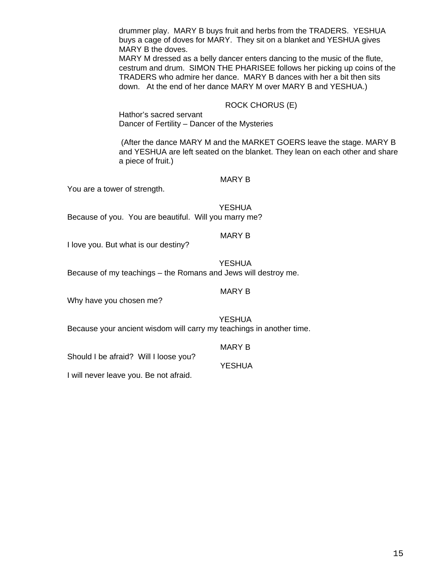drummer play. MARY B buys fruit and herbs from the TRADERS. YESHUA buys a cage of doves for MARY. They sit on a blanket and YESHUA gives MARY B the doves.

MARY M dressed as a belly dancer enters dancing to the music of the flute, cestrum and drum. SIMON THE PHARISEE follows her picking up coins of the TRADERS who admire her dance. MARY B dances with her a bit then sits down. At the end of her dance MARY M over MARY B and YESHUA.)

## ROCK CHORUS (E)

Hathor's sacred servant Dancer of Fertility – Dancer of the Mysteries

 (After the dance MARY M and the MARKET GOERS leave the stage. MARY B and YESHUA are left seated on the blanket. They lean on each other and share a piece of fruit.)

## MARY B

You are a tower of strength.

## **YESHUA**

Because of you. You are beautiful. Will you marry me?

#### MARY B

I love you. But what is our destiny?

**YESHUA** Because of my teachings – the Romans and Jews will destroy me.

## MARY B

Why have you chosen me?

YESHUA

Because your ancient wisdom will carry my teachings in another time.

MARY B

YESHUA

Should I be afraid? Will I loose you?

I will never leave you. Be not afraid.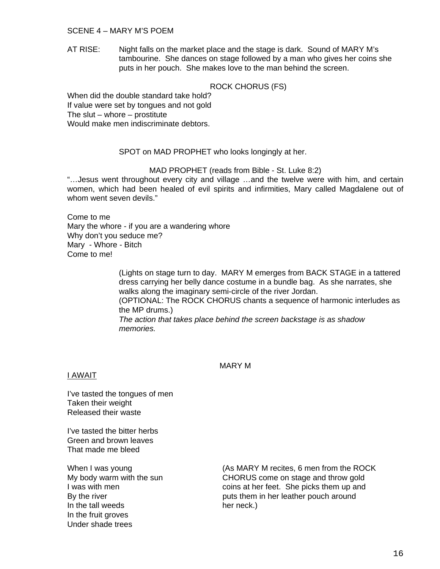## SCENE 4 – MARY M'S POEM

AT RISE: Night falls on the market place and the stage is dark. Sound of MARY M's tambourine. She dances on stage followed by a man who gives her coins she puts in her pouch. She makes love to the man behind the screen.

## ROCK CHORUS (FS)

When did the double standard take hold? If value were set by tongues and not gold The slut  $-$  whore  $-$  prostitute Would make men indiscriminate debtors.

## SPOT on MAD PROPHET who looks longingly at her.

## MAD PROPHET (reads from Bible - St. Luke 8:2)

"…Jesus went throughout every city and village …and the twelve were with him, and certain women, which had been healed of evil spirits and infirmities, Mary called Magdalene out of whom went seven devils."

Come to me Mary the whore - if you are a wandering whore Why don't you seduce me? Mary - Whore - Bitch Come to me!

> (Lights on stage turn to day. MARY M emerges from BACK STAGE in a tattered dress carrying her belly dance costume in a bundle bag. As she narrates, she walks along the imaginary semi-circle of the river Jordan. (OPTIONAL: The ROCK CHORUS chants a sequence of harmonic interludes as the MP drums.)

*The action that takes place behind the screen backstage is as shadow memories.* 

### MARY M

## I AWAIT

I've tasted the tongues of men Taken their weight Released their waste

I've tasted the bitter herbs Green and brown leaves That made me bleed

In the tall weeds her neck.) In the fruit groves Under shade trees

When I was young **Example 20** (As MARY M recites, 6 men from the ROCK My body warm with the sun CHORUS come on stage and throw gold I was with men coins at her feet. She picks them up and By the river **puts them** in her leather pouch around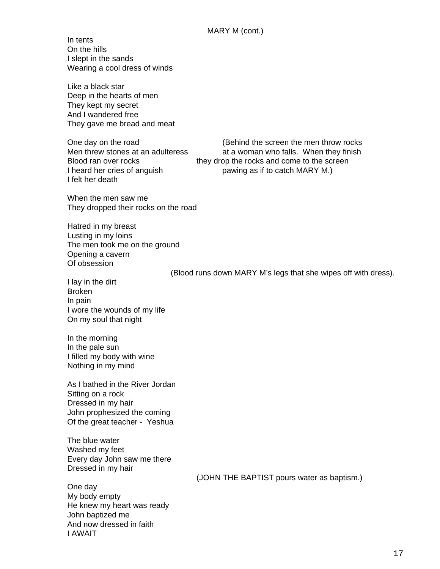In tents On the hills I slept in the sands Wearing a cool dress of winds

Like a black star Deep in the hearts of men They kept my secret And I wandered free They gave me bread and meat

Men threw stones at an adulteress at a woman who falls. When they finish Blood ran over rocks they drop the rocks and come to the screen I heard her cries of anguish pawing as if to catch MARY M.) I felt her death

One day on the road (Behind the screen the men throw rocks

When the men saw me They dropped their rocks on the road

Hatred in my breast Lusting in my loins The men took me on the ground Opening a cavern Of obsession

(Blood runs down MARY M's legs that she wipes off with dress).

I lay in the dirt Broken In pain I wore the wounds of my life On my soul that night

In the morning In the pale sun I filled my body with wine Nothing in my mind

As I bathed in the River Jordan Sitting on a rock Dressed in my hair John prophesized the coming Of the great teacher - Yeshua

The blue water Washed my feet Every day John saw me there Dressed in my hair

(JOHN THE BAPTIST pours water as baptism.)

One day My body empty He knew my heart was ready John baptized me And now dressed in faith I AWAIT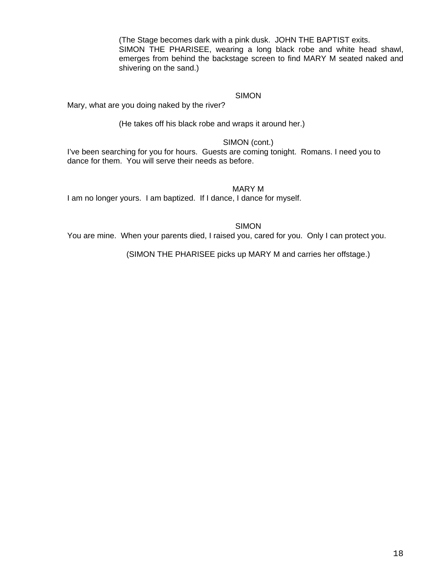(The Stage becomes dark with a pink dusk. JOHN THE BAPTIST exits. SIMON THE PHARISEE, wearing a long black robe and white head shawl, emerges from behind the backstage screen to find MARY M seated naked and shivering on the sand.)

# SIMON

Mary, what are you doing naked by the river?

(He takes off his black robe and wraps it around her.)

## SIMON (cont.)

I've been searching for you for hours. Guests are coming tonight. Romans. I need you to dance for them. You will serve their needs as before.

## MARY M

I am no longer yours. I am baptized. If I dance, I dance for myself.

SIMON

You are mine. When your parents died, I raised you, cared for you. Only I can protect you.

(SIMON THE PHARISEE picks up MARY M and carries her offstage.)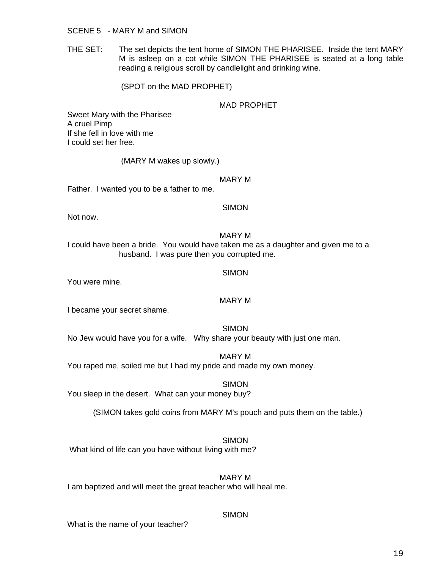### SCENE 5 - MARY M and SIMON

THE SET: The set depicts the tent home of SIMON THE PHARISEE. Inside the tent MARY M is asleep on a cot while SIMON THE PHARISEE is seated at a long table reading a religious scroll by candlelight and drinking wine.

(SPOT on the MAD PROPHET)

## MAD PROPHET

Sweet Mary with the Pharisee A cruel Pimp If she fell in love with me I could set her free.

(MARY M wakes up slowly.)

MARY M

Father. I wanted you to be a father to me.

#### **SIMON**

Not now.

#### MARY M

I could have been a bride. You would have taken me as a daughter and given me to a husband. I was pure then you corrupted me.

## SIMON

You were mine.

## MARY M

I became your secret shame.

SIMON

No Jew would have you for a wife. Why share your beauty with just one man.

MARY M

You raped me, soiled me but I had my pride and made my own money.

SIMON

You sleep in the desert. What can your money buy?

(SIMON takes gold coins from MARY M's pouch and puts them on the table.)

**SIMON** What kind of life can you have without living with me?

MARY M I am baptized and will meet the great teacher who will heal me.

## **SIMON**

What is the name of your teacher?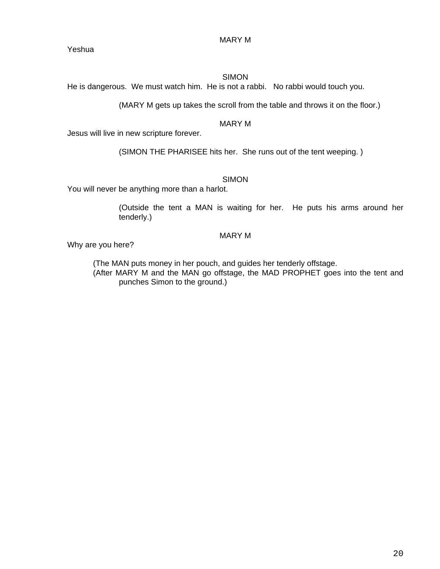MARY M

Yeshua

# SIMON

He is dangerous. We must watch him. He is not a rabbi. No rabbi would touch you.

(MARY M gets up takes the scroll from the table and throws it on the floor.)

## MARY M

Jesus will live in new scripture forever.

(SIMON THE PHARISEE hits her. She runs out of the tent weeping. )

# SIMON

You will never be anything more than a harlot.

(Outside the tent a MAN is waiting for her. He puts his arms around her tenderly.)

## MARY M

Why are you here?

 (The MAN puts money in her pouch, and guides her tenderly offstage. (After MARY M and the MAN go offstage, the MAD PROPHET goes into the tent and punches Simon to the ground.)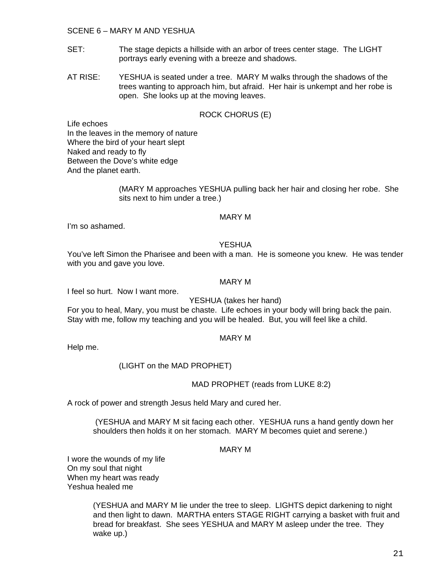## SCENE 6 – MARY M AND YESHUA

- SET: The stage depicts a hillside with an arbor of trees center stage. The LIGHT portrays early evening with a breeze and shadows.
- AT RISE: YESHUA is seated under a tree. MARY M walks through the shadows of the trees wanting to approach him, but afraid. Her hair is unkempt and her robe is open. She looks up at the moving leaves.

## ROCK CHORUS (E)

Life echoes In the leaves in the memory of nature Where the bird of your heart slept Naked and ready to fly Between the Dove's white edge And the planet earth.

> (MARY M approaches YESHUA pulling back her hair and closing her robe. She sits next to him under a tree.)

## MARY M

I'm so ashamed.

## YESHUA

You've left Simon the Pharisee and been with a man. He is someone you knew. He was tender with you and gave you love.

## MARY M

I feel so hurt. Now I want more.

YESHUA (takes her hand)

For you to heal, Mary, you must be chaste. Life echoes in your body will bring back the pain. Stay with me, follow my teaching and you will be healed. But, you will feel like a child.

## MARY M

Help me.

(LIGHT on the MAD PROPHET)

## MAD PROPHET (reads from LUKE 8:2)

A rock of power and strength Jesus held Mary and cured her.

 (YESHUA and MARY M sit facing each other. YESHUA runs a hand gently down her shoulders then holds it on her stomach. MARY M becomes quiet and serene.)

## MARY M

I wore the wounds of my life On my soul that night When my heart was ready Yeshua healed me

> (YESHUA and MARY M lie under the tree to sleep. LIGHTS depict darkening to night and then light to dawn. MARTHA enters STAGE RIGHT carrying a basket with fruit and bread for breakfast. She sees YESHUA and MARY M asleep under the tree. They wake up.)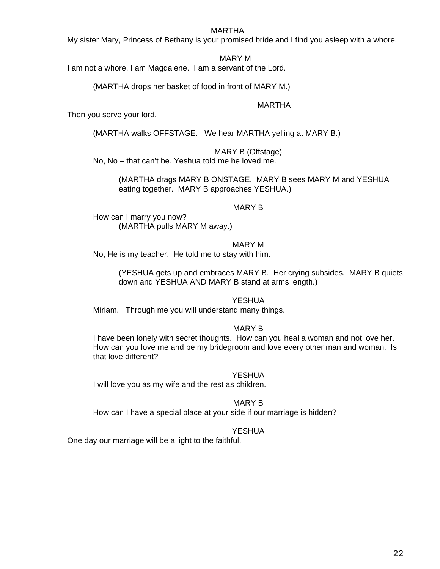## MARTHA

My sister Mary, Princess of Bethany is your promised bride and I find you asleep with a whore.

MARY M

I am not a whore. I am Magdalene. I am a servant of the Lord.

(MARTHA drops her basket of food in front of MARY M.)

MARTHA

Then you serve your lord.

(MARTHA walks OFFSTAGE. We hear MARTHA yelling at MARY B.)

MARY B (Offstage)

No, No – that can't be. Yeshua told me he loved me.

(MARTHA drags MARY B ONSTAGE. MARY B sees MARY M and YESHUA eating together. MARY B approaches YESHUA.)

## MARY B

How can I marry you now? (MARTHA pulls MARY M away.)

MARY M

No, He is my teacher. He told me to stay with him.

(YESHUA gets up and embraces MARY B. Her crying subsides. MARY B quiets down and YESHUA AND MARY B stand at arms length.)

YESHUA

Miriam. Through me you will understand many things.

## MARY B

I have been lonely with secret thoughts. How can you heal a woman and not love her. How can you love me and be my bridegroom and love every other man and woman. Is that love different?

**YESHUA** 

I will love you as my wife and the rest as children.

MARY B

How can I have a special place at your side if our marriage is hidden?

## YESHUA

One day our marriage will be a light to the faithful.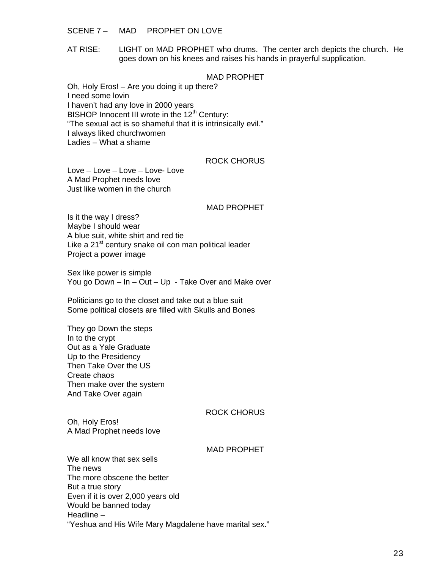SCENE 7 – MAD PROPHET ON LOVE

AT RISE: LIGHT on MAD PROPHET who drums. The center arch depicts the church. He goes down on his knees and raises his hands in prayerful supplication.

## MAD PROPHET

Oh, Holy Eros! – Are you doing it up there? I need some lovin I haven't had any love in 2000 years BISHOP Innocent III wrote in the  $12<sup>th</sup>$  Century: "The sexual act is so shameful that it is intrinsically evil." I always liked churchwomen Ladies – What a shame

### ROCK CHORUS

Love – Love – Love – Love- Love A Mad Prophet needs love Just like women in the church

#### MAD PROPHET

Is it the way I dress? Maybe I should wear A blue suit, white shirt and red tie Like a 21<sup>st</sup> century snake oil con man political leader Project a power image

Sex like power is simple You go Down – In – Out – Up - Take Over and Make over

Politicians go to the closet and take out a blue suit Some political closets are filled with Skulls and Bones

They go Down the steps In to the crypt Out as a Yale Graduate Up to the Presidency Then Take Over the US Create chaos Then make over the system And Take Over again

## ROCK CHORUS

Oh, Holy Eros! A Mad Prophet needs love

#### MAD PROPHET

We all know that sex sells The news The more obscene the better But a true story Even if it is over 2,000 years old Would be banned today Headline – "Yeshua and His Wife Mary Magdalene have marital sex."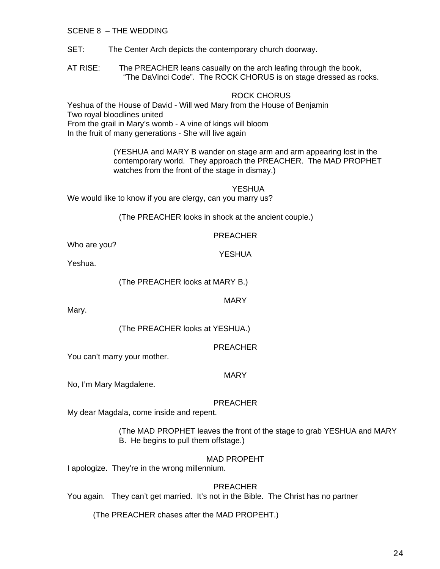SCENE 8 – THE WEDDING

SET: The Center Arch depicts the contemporary church doorway.

AT RISE: The PREACHER leans casually on the arch leafing through the book, "The DaVinci Code". The ROCK CHORUS is on stage dressed as rocks.

## ROCK CHORUS

Yeshua of the House of David - Will wed Mary from the House of Benjamin Two royal bloodlines united From the grail in Mary's womb - A vine of kings will bloom In the fruit of many generations - She will live again

> (YESHUA and MARY B wander on stage arm and arm appearing lost in the contemporary world. They approach the PREACHER. The MAD PROPHET watches from the front of the stage in dismay.)

> > YESHUA

We would like to know if you are clergy, can you marry us?

(The PREACHER looks in shock at the ancient couple.)

## PREACHER

YESHUA

Who are you?

Yeshua.

(The PREACHER looks at MARY B.)

MARY

Mary.

(The PREACHER looks at YESHUA.)

PREACHER

You can't marry your mother.

MARY

No, I'm Mary Magdalene.

## PREACHER

My dear Magdala, come inside and repent.

(The MAD PROPHET leaves the front of the stage to grab YESHUA and MARY B. He begins to pull them offstage.)

## MAD PROPEHT

I apologize. They're in the wrong millennium.

## PREACHER

You again. They can't get married. It's not in the Bible. The Christ has no partner

(The PREACHER chases after the MAD PROPEHT.)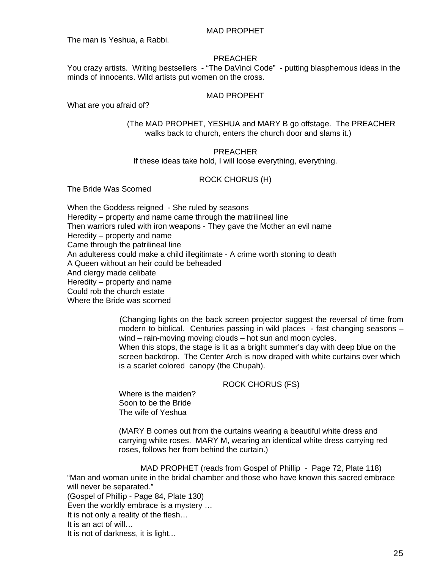### MAD PROPHET

The man is Yeshua, a Rabbi.

### PREACHER

You crazy artists. Writing bestsellers - "The DaVinci Code" - putting blasphemous ideas in the minds of innocents. Wild artists put women on the cross.

## MAD PROPEHT

What are you afraid of?

## (The MAD PROPHET, YESHUA and MARY B go offstage. The PREACHER walks back to church, enters the church door and slams it.)

## PREACHER

If these ideas take hold, I will loose everything, everything.

## ROCK CHORUS (H)

#### The Bride Was Scorned

When the Goddess reigned - She ruled by seasons Heredity – property and name came through the matrilineal line Then warriors ruled with iron weapons - They gave the Mother an evil name Heredity – property and name Came through the patrilineal line An adulteress could make a child illegitimate - A crime worth stoning to death A Queen without an heir could be beheaded And clergy made celibate Heredity – property and name Could rob the church estate Where the Bride was scorned

> (Changing lights on the back screen projector suggest the reversal of time from modern to biblical. Centuries passing in wild places - fast changing seasons – wind – rain-moving moving clouds – hot sun and moon cycles. When this stops, the stage is lit as a bright summer's day with deep blue on the screen backdrop. The Center Arch is now draped with white curtains over which is a scarlet colored canopy (the Chupah).

## ROCK CHORUS (FS)

Where is the maiden? Soon to be the Bride The wife of Yeshua

 (MARY B comes out from the curtains wearing a beautiful white dress and carrying white roses. MARY M, wearing an identical white dress carrying red roses, follows her from behind the curtain.)

MAD PROPHET (reads from Gospel of Phillip - Page 72, Plate 118) "Man and woman unite in the bridal chamber and those who have known this sacred embrace will never be separated."

(Gospel of Phillip - Page 84, Plate 130)

Even the worldly embrace is a mystery …

It is not only a reality of the flesh…

It is an act of will…

It is not of darkness, it is light...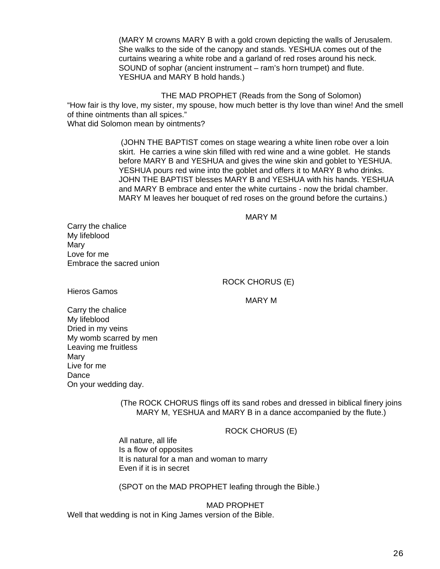(MARY M crowns MARY B with a gold crown depicting the walls of Jerusalem. She walks to the side of the canopy and stands. YESHUA comes out of the curtains wearing a white robe and a garland of red roses around his neck. SOUND of sophar (ancient instrument – ram's horn trumpet) and flute. YESHUA and MARY B hold hands.)

THE MAD PROPHET (Reads from the Song of Solomon) "How fair is thy love, my sister, my spouse, how much better is thy love than wine! And the smell of thine ointments than all spices." What did Solomon mean by ointments?

> (JOHN THE BAPTIST comes on stage wearing a white linen robe over a loin skirt. He carries a wine skin filled with red wine and a wine goblet. He stands before MARY B and YESHUA and gives the wine skin and goblet to YESHUA. YESHUA pours red wine into the goblet and offers it to MARY B who drinks. JOHN THE BAPTIST blesses MARY B and YESHUA with his hands. YESHUA and MARY B embrace and enter the white curtains - now the bridal chamber. MARY M leaves her bouquet of red roses on the ground before the curtains.)

#### MARY M

Carry the chalice My lifeblood Mary Love for me Embrace the sacred union

ROCK CHORUS (E)

Hieros Gamos

MARY M

Carry the chalice My lifeblood Dried in my veins My womb scarred by men Leaving me fruitless Mary Live for me Dance On your wedding day.

> (The ROCK CHORUS flings off its sand robes and dressed in biblical finery joins MARY M, YESHUA and MARY B in a dance accompanied by the flute.)

> > ROCK CHORUS (E)

All nature, all life Is a flow of opposites It is natural for a man and woman to marry Even if it is in secret

(SPOT on the MAD PROPHET leafing through the Bible.)

MAD PROPHET Well that wedding is not in King James version of the Bible.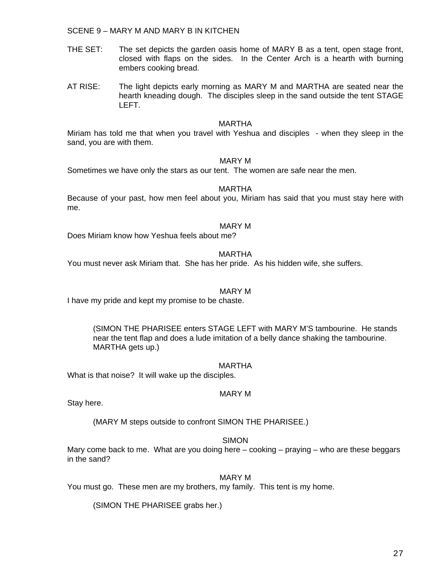SCENE 9 – MARY M AND MARY B IN KITCHEN

- THE SET: The set depicts the garden oasis home of MARY B as a tent, open stage front, closed with flaps on the sides. In the Center Arch is a hearth with burning embers cooking bread.
- AT RISE: The light depicts early morning as MARY M and MARTHA are seated near the hearth kneading dough. The disciples sleep in the sand outside the tent STAGE LEFT.

#### MARTHA

Miriam has told me that when you travel with Yeshua and disciples - when they sleep in the sand, you are with them.

## MARY M

Sometimes we have only the stars as our tent. The women are safe near the men.

#### MARTHA

Because of your past, how men feel about you, Miriam has said that you must stay here with me.

#### MARY M

Does Miriam know how Yeshua feels about me?

## MARTHA

You must never ask Miriam that. She has her pride. As his hidden wife, she suffers.

## MARY M

I have my pride and kept my promise to be chaste.

(SIMON THE PHARISEE enters STAGE LEFT with MARY M'S tambourine. He stands near the tent flap and does a lude imitation of a belly dance shaking the tambourine. MARTHA gets up.)

#### MARTHA

What is that noise? It will wake up the disciples.

## MARY M

Stay here.

(MARY M steps outside to confront SIMON THE PHARISEE.)

## **SIMON**

Mary come back to me. What are you doing here – cooking – praying – who are these beggars in the sand?

## MARY M

You must go. These men are my brothers, my family. This tent is my home.

(SIMON THE PHARISEE grabs her.)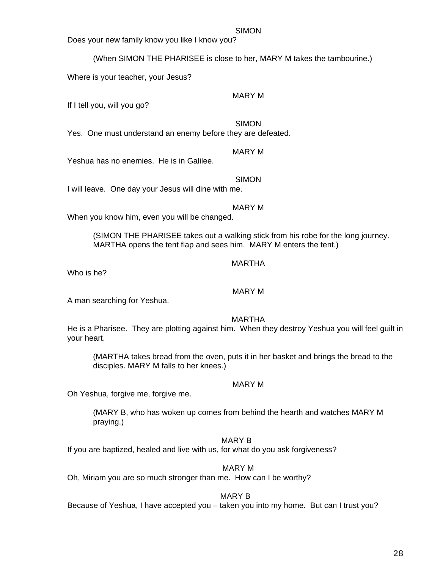## SIMON

Does your new family know you like I know you?

(When SIMON THE PHARISEE is close to her, MARY M takes the tambourine.)

Where is your teacher, your Jesus?

MARY M

If I tell you, will you go?

SIMON

Yes. One must understand an enemy before they are defeated.

# MARY M

Yeshua has no enemies. He is in Galilee.

SIMON I will leave. One day your Jesus will dine with me.

# MARY M

When you know him, even you will be changed.

(SIMON THE PHARISEE takes out a walking stick from his robe for the long journey. MARTHA opens the tent flap and sees him. MARY M enters the tent.)

# MARTHA

Who is he?

MARY M

A man searching for Yeshua.

MARTHA

He is a Pharisee. They are plotting against him. When they destroy Yeshua you will feel guilt in your heart.

(MARTHA takes bread from the oven, puts it in her basket and brings the bread to the disciples. MARY M falls to her knees.)

# MARY M

Oh Yeshua, forgive me, forgive me.

(MARY B, who has woken up comes from behind the hearth and watches MARY M praying.)

# MARY B

If you are baptized, healed and live with us, for what do you ask forgiveness?

# MARY M

Oh, Miriam you are so much stronger than me. How can I be worthy?

# MARY B

Because of Yeshua, I have accepted you – taken you into my home. But can I trust you?

# $^{28}$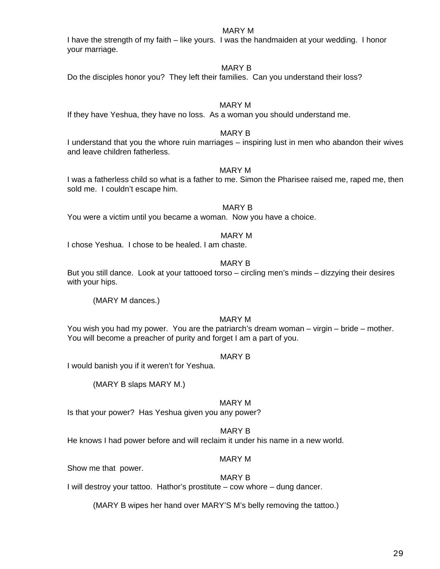## MARY M

I have the strength of my faith – like yours. I was the handmaiden at your wedding. I honor your marriage.

## MARY B

Do the disciples honor you? They left their families. Can you understand their loss?

## MARY M

If they have Yeshua, they have no loss. As a woman you should understand me.

## MARY B

I understand that you the whore ruin marriages – inspiring lust in men who abandon their wives and leave children fatherless.

## MARY M

I was a fatherless child so what is a father to me. Simon the Pharisee raised me, raped me, then sold me. I couldn't escape him.

## MARY B

You were a victim until you became a woman. Now you have a choice.

## MARY M

I chose Yeshua. I chose to be healed. I am chaste.

## MARY B

But you still dance. Look at your tattooed torso – circling men's minds – dizzying their desires with your hips.

(MARY M dances.)

## MARY M

You wish you had my power. You are the patriarch's dream woman – virgin – bride – mother. You will become a preacher of purity and forget I am a part of you.

## MARY B

I would banish you if it weren't for Yeshua.

(MARY B slaps MARY M.)

## MARY M

Is that your power? Has Yeshua given you any power?

## MARY B

He knows I had power before and will reclaim it under his name in a new world.

## MARY M

Show me that power.

## MARY B

I will destroy your tattoo. Hathor's prostitute – cow whore – dung dancer.

(MARY B wipes her hand over MARY'S M's belly removing the tattoo.)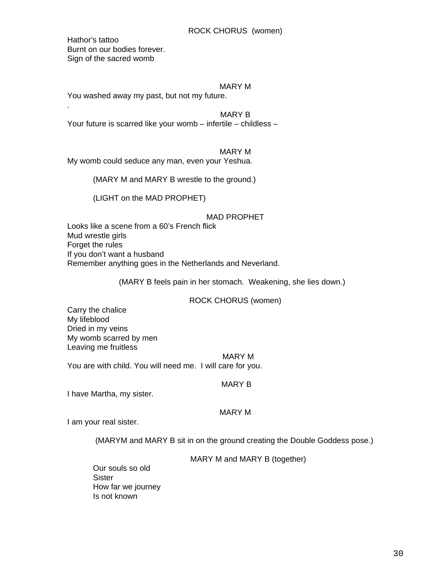Hathor's tattoo Burnt on our bodies forever. Sign of the sacred womb

.

## MARY M

You washed away my past, but not my future.

MARY B

Your future is scarred like your womb – infertile – childless –

MARY M

My womb could seduce any man, even your Yeshua.

(MARY M and MARY B wrestle to the ground.)

(LIGHT on the MAD PROPHET)

## MAD PROPHET

Looks like a scene from a 60's French flick Mud wrestle girls Forget the rules If you don't want a husband Remember anything goes in the Netherlands and Neverland.

(MARY B feels pain in her stomach. Weakening, she lies down.)

## ROCK CHORUS (women)

Carry the chalice My lifeblood Dried in my veins My womb scarred by men Leaving me fruitless

MARY M

You are with child. You will need me. I will care for you.

MARY B

I have Martha, my sister.

## MARY M

I am your real sister.

(MARYM and MARY B sit in on the ground creating the Double Goddess pose.)

MARY M and MARY B (together)

Our souls so old **Sister** How far we journey Is not known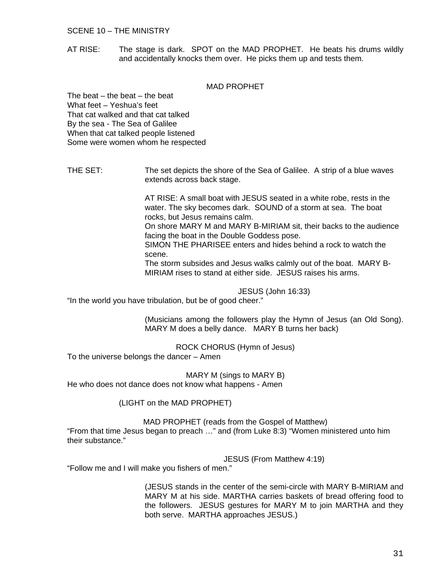## SCENE 10 – THE MINISTRY

AT RISE: The stage is dark. SPOT on the MAD PROPHET. He beats his drums wildly and accidentally knocks them over. He picks them up and tests them.

## MAD PROPHET

The beat – the beat – the beat What feet – Yeshua's feet That cat walked and that cat talked By the sea - The Sea of Galilee When that cat talked people listened Some were women whom he respected

THE SET: The set depicts the shore of the Sea of Galilee. A strip of a blue waves extends across back stage.

> AT RISE: A small boat with JESUS seated in a white robe, rests in the water. The sky becomes dark. SOUND of a storm at sea. The boat rocks, but Jesus remains calm. On shore MARY M and MARY B-MIRIAM sit, their backs to the audience

facing the boat in the Double Goddess pose. SIMON THE PHARISEE enters and hides behind a rock to watch the scene.

The storm subsides and Jesus walks calmly out of the boat. MARY B-MIRIAM rises to stand at either side. JESUS raises his arms.

JESUS (John 16:33)

"In the world you have tribulation, but be of good cheer."

(Musicians among the followers play the Hymn of Jesus (an Old Song). MARY M does a belly dance. MARY B turns her back)

ROCK CHORUS (Hymn of Jesus) To the universe belongs the dancer – Amen

MARY M (sings to MARY B) He who does not dance does not know what happens - Amen

(LIGHT on the MAD PROPHET)

#### MAD PROPHET (reads from the Gospel of Matthew)

"From that time Jesus began to preach …" and (from Luke 8:3) "Women ministered unto him their substance."

JESUS (From Matthew 4:19)

"Follow me and I will make you fishers of men."

(JESUS stands in the center of the semi-circle with MARY B-MIRIAM and MARY M at his side. MARTHA carries baskets of bread offering food to the followers. JESUS gestures for MARY M to join MARTHA and they both serve. MARTHA approaches JESUS.)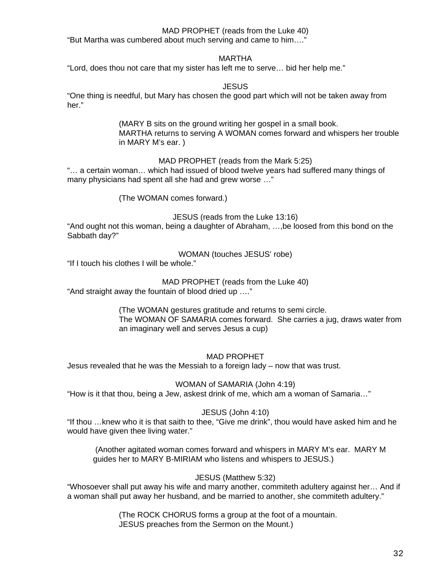## MAD PROPHET (reads from the Luke 40)

"But Martha was cumbered about much serving and came to him…."

## MARTHA

"Lord, does thou not care that my sister has left me to serve… bid her help me."

## **JESUS**

"One thing is needful, but Mary has chosen the good part which will not be taken away from her."

> (MARY B sits on the ground writing her gospel in a small book. MARTHA returns to serving A WOMAN comes forward and whispers her trouble in MARY M's ear. )

> > MAD PROPHET (reads from the Mark 5:25)

"… a certain woman… which had issued of blood twelve years had suffered many things of many physicians had spent all she had and grew worse …"

(The WOMAN comes forward.)

JESUS (reads from the Luke 13:16)

"And ought not this woman, being a daughter of Abraham, …,be loosed from this bond on the Sabbath day?"

WOMAN (touches JESUS' robe)

"If I touch his clothes I will be whole."

MAD PROPHET (reads from the Luke 40)

"And straight away the fountain of blood dried up …."

(The WOMAN gestures gratitude and returns to semi circle. The WOMAN OF SAMARIA comes forward. She carries a jug, draws water from an imaginary well and serves Jesus a cup)

MAD PROPHET

Jesus revealed that he was the Messiah to a foreign lady – now that was trust.

WOMAN of SAMARIA (John 4:19)

"How is it that thou, being a Jew, askest drink of me, which am a woman of Samaria…"

JESUS (John 4:10)

"If thou …knew who it is that saith to thee, "Give me drink", thou would have asked him and he would have given thee living water."

 (Another agitated woman comes forward and whispers in MARY M's ear. MARY M guides her to MARY B-MIRIAM who listens and whispers to JESUS.)

## JESUS (Matthew 5:32)

"Whosoever shall put away his wife and marry another, commiteth adultery against her… And if a woman shall put away her husband, and be married to another, she commiteth adultery."

> (The ROCK CHORUS forms a group at the foot of a mountain. JESUS preaches from the Sermon on the Mount.)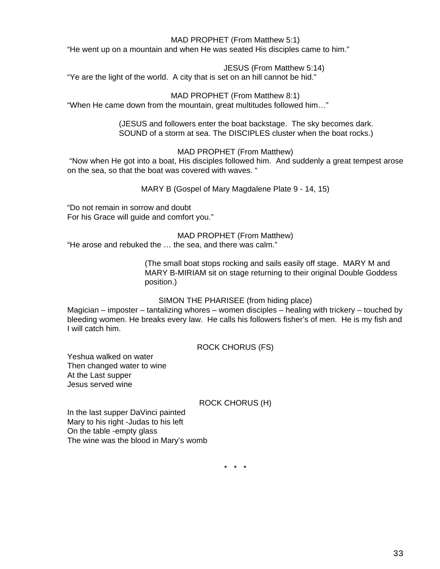## MAD PROPHET (From Matthew 5:1)

"He went up on a mountain and when He was seated His disciples came to him."

JESUS (From Matthew 5:14)

"Ye are the light of the world. A city that is set on an hill cannot be hid."

MAD PROPHET (From Matthew 8:1)

"When He came down from the mountain, great multitudes followed him…"

(JESUS and followers enter the boat backstage. The sky becomes dark. SOUND of a storm at sea. The DISCIPLES cluster when the boat rocks.)

## MAD PROPHET (From Matthew)

 "Now when He got into a boat, His disciples followed him. And suddenly a great tempest arose on the sea, so that the boat was covered with waves. "

MARY B (Gospel of Mary Magdalene Plate 9 - 14, 15)

"Do not remain in sorrow and doubt For his Grace will guide and comfort you."

MAD PROPHET (From Matthew)

"He arose and rebuked the … the sea, and there was calm."

(The small boat stops rocking and sails easily off stage. MARY M and MARY B-MIRIAM sit on stage returning to their original Double Goddess position.)

## SIMON THE PHARISEE (from hiding place)

Magician – imposter – tantalizing whores – women disciples – healing with trickery – touched by bleeding women. He breaks every law. He calls his followers fisher's of men. He is my fish and I will catch him.

ROCK CHORUS (FS)

Yeshua walked on water Then changed water to wine At the Last supper Jesus served wine

## ROCK CHORUS (H)

In the last supper DaVinci painted Mary to his right -Judas to his left On the table -empty glass The wine was the blood in Mary's womb

\* \* \*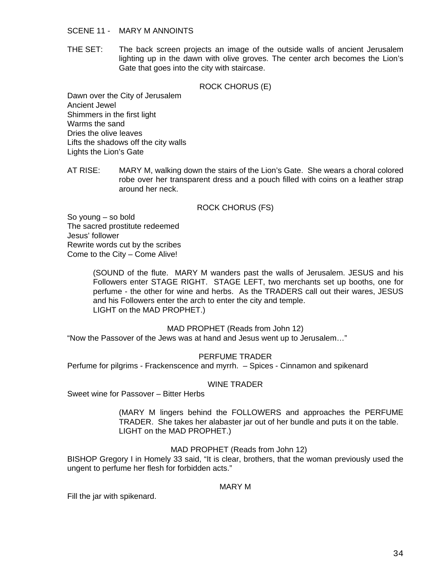### SCENE 11 - MARY M ANNOINTS

THE SET: The back screen projects an image of the outside walls of ancient Jerusalem lighting up in the dawn with olive groves. The center arch becomes the Lion's Gate that goes into the city with staircase.

## ROCK CHORUS (E)

Dawn over the City of Jerusalem Ancient Jewel Shimmers in the first light Warms the sand Dries the olive leaves Lifts the shadows off the city walls Lights the Lion's Gate

AT RISE: MARY M, walking down the stairs of the Lion's Gate. She wears a choral colored robe over her transparent dress and a pouch filled with coins on a leather strap around her neck.

## ROCK CHORUS (FS)

So young – so bold The sacred prostitute redeemed Jesus' follower Rewrite words cut by the scribes Come to the City – Come Alive!

> (SOUND of the flute. MARY M wanders past the walls of Jerusalem. JESUS and his Followers enter STAGE RIGHT. STAGE LEFT, two merchants set up booths, one for perfume - the other for wine and herbs. As the TRADERS call out their wares, JESUS and his Followers enter the arch to enter the city and temple. LIGHT on the MAD PROPHET.)

## MAD PROPHET (Reads from John 12)

"Now the Passover of the Jews was at hand and Jesus went up to Jerusalem…"

## PERFUME TRADER

Perfume for pilgrims - Frackenscence and myrrh. – Spices - Cinnamon and spikenard

## WINE TRADER

Sweet wine for Passover – Bitter Herbs

(MARY M lingers behind the FOLLOWERS and approaches the PERFUME TRADER. She takes her alabaster jar out of her bundle and puts it on the table. LIGHT on the MAD PROPHET.)

## MAD PROPHET (Reads from John 12)

BISHOP Gregory I in Homely 33 said, "It is clear, brothers, that the woman previously used the ungent to perfume her flesh for forbidden acts."

## MARY M

Fill the jar with spikenard.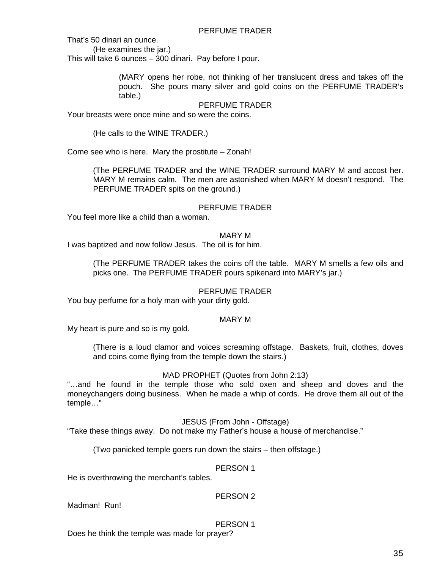That's 50 dinari an ounce.

(He examines the jar.)

This will take 6 ounces – 300 dinari. Pay before I pour.

(MARY opens her robe, not thinking of her translucent dress and takes off the pouch. She pours many silver and gold coins on the PERFUME TRADER's table.)

## PERFUME TRADER

Your breasts were once mine and so were the coins.

(He calls to the WINE TRADER.)

Come see who is here. Mary the prostitute – Zonah!

(The PERFUME TRADER and the WINE TRADER surround MARY M and accost her. MARY M remains calm. The men are astonished when MARY M doesn't respond. The PERFUME TRADER spits on the ground.)

## PERFUME TRADER

You feel more like a child than a woman.

## MARY M

I was baptized and now follow Jesus. The oil is for him.

(The PERFUME TRADER takes the coins off the table. MARY M smells a few oils and picks one. The PERFUME TRADER pours spikenard into MARY's jar.)

## PERFUME TRADER

You buy perfume for a holy man with your dirty gold.

## MARY M

My heart is pure and so is my gold.

(There is a loud clamor and voices screaming offstage. Baskets, fruit, clothes, doves and coins come flying from the temple down the stairs.)

## MAD PROPHET (Quotes from John 2:13)

"…and he found in the temple those who sold oxen and sheep and doves and the moneychangers doing business. When he made a whip of cords. He drove them all out of the temple…"

## JESUS (From John - Offstage)

"Take these things away. Do not make my Father's house a house of merchandise."

(Two panicked temple goers run down the stairs – then offstage.)

## PERSON 1

He is overthrowing the merchant's tables.

## PERSON 2

Madman! Run!

## PERSON 1

Does he think the temple was made for prayer?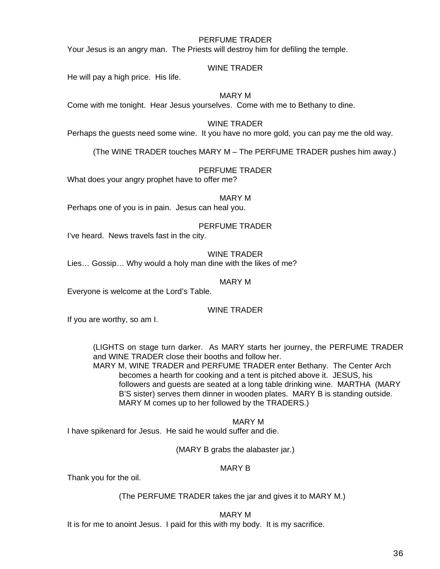## PERFUME TRADER

Your Jesus is an angry man. The Priests will destroy him for defiling the temple.

## WINE TRADER

He will pay a high price. His life.

## MARY M

Come with me tonight. Hear Jesus yourselves. Come with me to Bethany to dine.

### WINE TRADER

Perhaps the guests need some wine. It you have no more gold, you can pay me the old way.

(The WINE TRADER touches MARY M – The PERFUME TRADER pushes him away.)

## PERFUME TRADER

What does your angry prophet have to offer me?

## MARY M

Perhaps one of you is in pain. Jesus can heal you.

## PERFUME TRADER

I've heard. News travels fast in the city.

WINE TRADER Lies… Gossip… Why would a holy man dine with the likes of me?

### MARY M

Everyone is welcome at the Lord's Table.

## WINE TRADER

If you are worthy, so am I.

(LIGHTS on stage turn darker. As MARY starts her journey, the PERFUME TRADER and WINE TRADER close their booths and follow her.

MARY M, WINE TRADER and PERFUME TRADER enter Bethany. The Center Arch becomes a hearth for cooking and a tent is pitched above it. JESUS, his followers and guests are seated at a long table drinking wine. MARTHA (MARY B'S sister) serves them dinner in wooden plates. MARY B is standing outside. MARY M comes up to her followed by the TRADERS.)

## MARY M

I have spikenard for Jesus. He said he would suffer and die.

## (MARY B grabs the alabaster jar.)

## MARY B

Thank you for the oil.

## (The PERFUME TRADER takes the jar and gives it to MARY M.)

## MARY M

It is for me to anoint Jesus. I paid for this with my body. It is my sacrifice.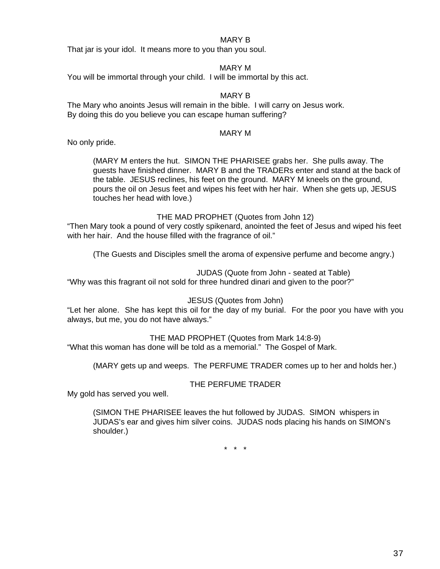## MARY B

That jar is your idol. It means more to you than you soul.

## MARY M

You will be immortal through your child. I will be immortal by this act.

# MARY B

The Mary who anoints Jesus will remain in the bible. I will carry on Jesus work. By doing this do you believe you can escape human suffering?

## MARY M

No only pride.

(MARY M enters the hut. SIMON THE PHARISEE grabs her. She pulls away. The guests have finished dinner. MARY B and the TRADERs enter and stand at the back of the table. JESUS reclines, his feet on the ground. MARY M kneels on the ground, pours the oil on Jesus feet and wipes his feet with her hair. When she gets up, JESUS touches her head with love.)

THE MAD PROPHET (Quotes from John 12)

"Then Mary took a pound of very costly spikenard, anointed the feet of Jesus and wiped his feet with her hair. And the house filled with the fragrance of oil."

(The Guests and Disciples smell the aroma of expensive perfume and become angry.)

JUDAS (Quote from John - seated at Table)

"Why was this fragrant oil not sold for three hundred dinari and given to the poor?"

JESUS (Quotes from John)

"Let her alone. She has kept this oil for the day of my burial. For the poor you have with you always, but me, you do not have always."

THE MAD PROPHET (Quotes from Mark 14:8-9)

"What this woman has done will be told as a memorial." The Gospel of Mark.

(MARY gets up and weeps. The PERFUME TRADER comes up to her and holds her.)

# THE PERFUME TRADER

My gold has served you well.

(SIMON THE PHARISEE leaves the hut followed by JUDAS. SIMON whispers in JUDAS's ear and gives him silver coins. JUDAS nods placing his hands on SIMON's shoulder.)

\* \* \*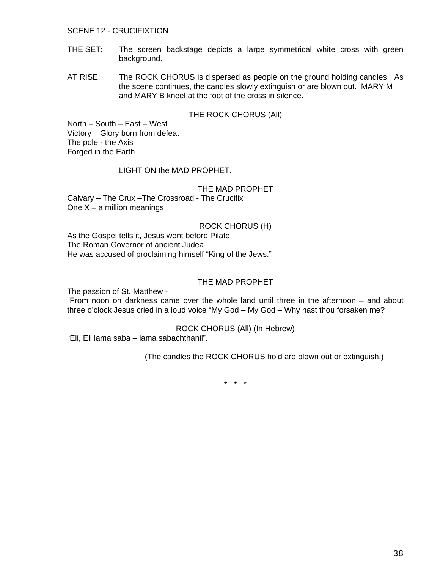### SCENE 12 - CRUCIFIXTION

- THE SET: The screen backstage depicts a large symmetrical white cross with green background.
- AT RISE: The ROCK CHORUS is dispersed as people on the ground holding candles. As the scene continues, the candles slowly extinguish or are blown out. MARY M and MARY B kneel at the foot of the cross in silence.

## THE ROCK CHORUS (All)

North – South – East – West Victory – Glory born from defeat The pole - the Axis Forged in the Earth

## LIGHT ON the MAD PROPHET.

THE MAD PROPHET Calvary – The Crux –The Crossroad - The Crucifix One  $X - a$  million meanings

## ROCK CHORUS (H)

As the Gospel tells it, Jesus went before Pilate The Roman Governor of ancient Judea He was accused of proclaiming himself "King of the Jews."

## THE MAD PROPHET

The passion of St. Matthew -

"From noon on darkness came over the whole land until three in the afternoon – and about three o'clock Jesus cried in a loud voice "My God – My God – Why hast thou forsaken me?

#### ROCK CHORUS (All) (In Hebrew)

"Eli, Eli lama saba – lama sabachthanil".

(The candles the ROCK CHORUS hold are blown out or extinguish.)

\* \* \*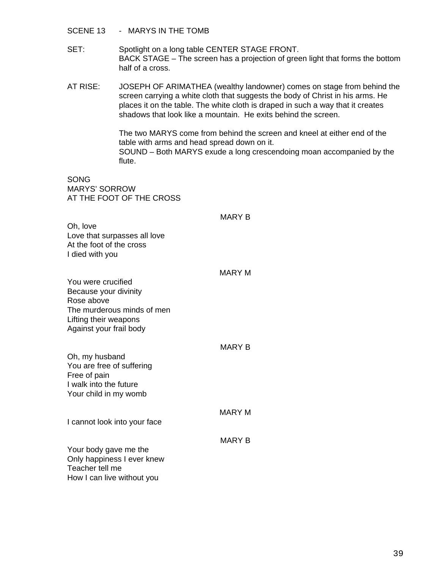- SCENE 13 MARYS IN THE TOMB
- SET: Spotlight on a long table CENTER STAGE FRONT. BACK STAGE – The screen has a projection of green light that forms the bottom half of a cross.
- AT RISE: JOSEPH OF ARIMATHEA (wealthy landowner) comes on stage from behind the screen carrying a white cloth that suggests the body of Christ in his arms. He places it on the table. The white cloth is draped in such a way that it creates shadows that look like a mountain. He exits behind the screen.

The two MARYS come from behind the screen and kneel at either end of the table with arms and head spread down on it. SOUND – Both MARYS exude a long crescendoing moan accompanied by the flute.

SONG MARYS' SORROW AT THE FOOT OF THE CROSS

|  | MARY |  |
|--|------|--|
|  |      |  |

Oh, love Love that surpasses all love At the foot of the cross I died with you

| MARY M |  |
|--------|--|
|--------|--|

- You were crucified Because your divinity Rose above The murderous minds of men Lifting their weapons Against your frail body
- MARY B Oh, my husband You are free of suffering Free of pain I walk into the future Your child in my womb MARY M I cannot look into your face MARY B Your body gave me the Only happiness I ever knew Teacher tell me

How I can live without you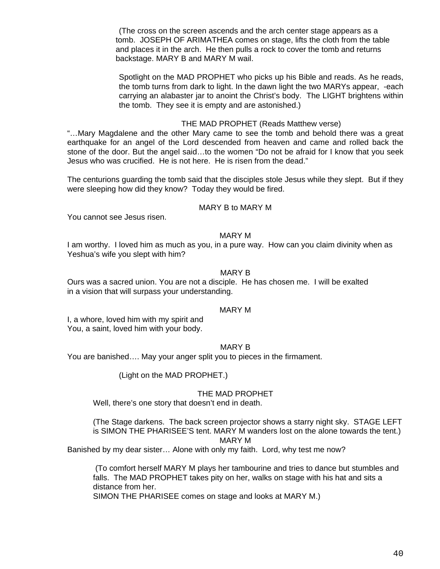(The cross on the screen ascends and the arch center stage appears as a tomb. JOSEPH OF ARIMATHEA comes on stage, lifts the cloth from the table and places it in the arch. He then pulls a rock to cover the tomb and returns backstage. MARY B and MARY M wail.

Spotlight on the MAD PROPHET who picks up his Bible and reads. As he reads, the tomb turns from dark to light. In the dawn light the two MARYs appear, -each carrying an alabaster jar to anoint the Christ's body. The LIGHT brightens within the tomb. They see it is empty and are astonished.)

## THE MAD PROPHET (Reads Matthew verse)

"…Mary Magdalene and the other Mary came to see the tomb and behold there was a great earthquake for an angel of the Lord descended from heaven and came and rolled back the stone of the door. But the angel said…to the women "Do not be afraid for I know that you seek Jesus who was crucified. He is not here. He is risen from the dead."

The centurions guarding the tomb said that the disciples stole Jesus while they slept. But if they were sleeping how did they know? Today they would be fired.

## MARY B to MARY M

You cannot see Jesus risen.

#### MARY M

I am worthy. I loved him as much as you, in a pure way. How can you claim divinity when as Yeshua's wife you slept with him?

#### MARY B

Ours was a sacred union. You are not a disciple. He has chosen me. I will be exalted in a vision that will surpass your understanding.

### MARY M

I, a whore, loved him with my spirit and You, a saint, loved him with your body.

## MARY B

You are banished…. May your anger split you to pieces in the firmament.

(Light on the MAD PROPHET.)

## THE MAD PROPHET

Well, there's one story that doesn't end in death.

(The Stage darkens. The back screen projector shows a starry night sky. STAGE LEFT is SIMON THE PHARISEE'S tent. MARY M wanders lost on the alone towards the tent.) MARY M

Banished by my dear sister… Alone with only my faith. Lord, why test me now?

 (To comfort herself MARY M plays her tambourine and tries to dance but stumbles and falls. The MAD PROPHET takes pity on her, walks on stage with his hat and sits a distance from her.

SIMON THE PHARISEE comes on stage and looks at MARY M.)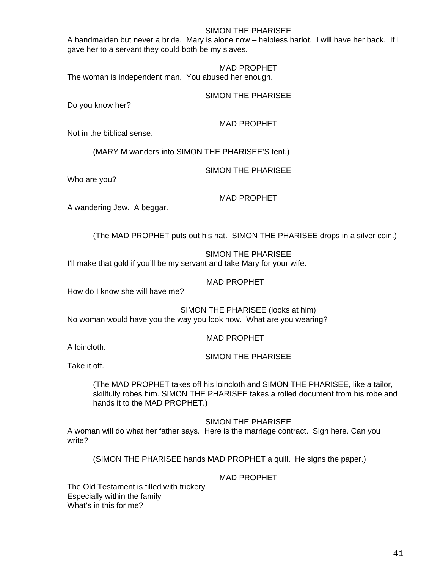## SIMON THE PHARISEE

A handmaiden but never a bride. Mary is alone now – helpless harlot. I will have her back. If I gave her to a servant they could both be my slaves.

MAD PROPHET

The woman is independent man. You abused her enough.

SIMON THE PHARISEE

Do you know her?

MAD PROPHET

Not in the biblical sense.

(MARY M wanders into SIMON THE PHARISEE'S tent.)

SIMON THE PHARISEE

Who are you?

## MAD PROPHET

A wandering Jew. A beggar.

(The MAD PROPHET puts out his hat. SIMON THE PHARISEE drops in a silver coin.)

SIMON THE PHARISEE I'll make that gold if you'll be my servant and take Mary for your wife.

## MAD PROPHET

How do I know she will have me?

SIMON THE PHARISEE (looks at him) No woman would have you the way you look now. What are you wearing?

MAD PROPHET

A loincloth.

SIMON THE PHARISEE

Take it off.

(The MAD PROPHET takes off his loincloth and SIMON THE PHARISEE, like a tailor, skillfully robes him. SIMON THE PHARISEE takes a rolled document from his robe and hands it to the MAD PROPHET.)

SIMON THE PHARISEE

A woman will do what her father says. Here is the marriage contract. Sign here. Can you write?

(SIMON THE PHARISEE hands MAD PROPHET a quill. He signs the paper.)

MAD PROPHET

The Old Testament is filled with trickery Especially within the family What's in this for me?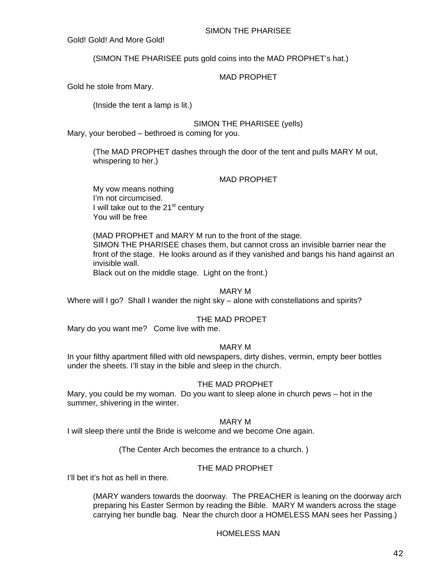## SIMON THE PHARISEE

Gold! Gold! And More Gold!

(SIMON THE PHARISEE puts gold coins into the MAD PROPHET's hat.)

## MAD PROPHET

Gold he stole from Mary.

(Inside the tent a lamp is lit.)

## SIMON THE PHARISEE (yells)

Mary, your berobed – bethroed is coming for you.

(The MAD PROPHET dashes through the door of the tent and pulls MARY M out, whispering to her.)

## MAD PROPHET

My vow means nothing I'm not circumcised. I will take out to the  $21<sup>st</sup>$  century You will be free

(MAD PROPHET and MARY M run to the front of the stage. SIMON THE PHARISEE chases them, but cannot cross an invisible barrier near the front of the stage. He looks around as if they vanished and bangs his hand against an invisible wall.

Black out on the middle stage. Light on the front.)

## MARY M

Where will I go? Shall I wander the night sky – alone with constellations and spirits?

## THE MAD PROPET

Mary do you want me? Come live with me.

## MARY M

In your filthy apartment filled with old newspapers, dirty dishes, vermin, empty beer bottles under the sheets. I'll stay in the bible and sleep in the church.

## THE MAD PROPHET

Mary, you could be my woman. Do you want to sleep alone in church pews – hot in the summer, shivering in the winter.

## MARY M

I will sleep there until the Bride is welcome and we become One again.

(The Center Arch becomes the entrance to a church. )

## THE MAD PROPHET

I'll bet it's hot as hell in there.

(MARY wanders towards the doorway. The PREACHER is leaning on the doorway arch preparing his Easter Sermon by reading the Bible. MARY M wanders across the stage carrying her bundle bag. Near the church door a HOMELESS MAN sees her Passing.)

## HOMELESS MAN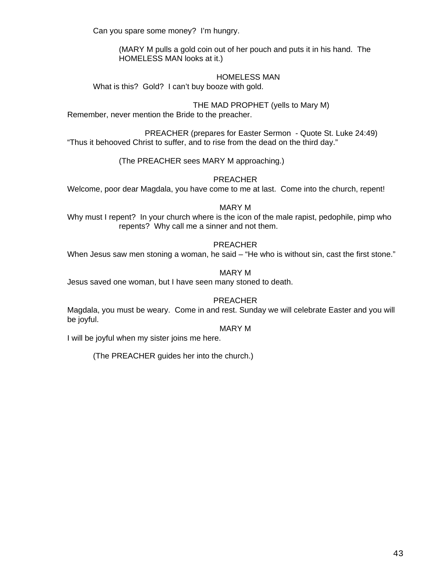Can you spare some money? I'm hungry.

(MARY M pulls a gold coin out of her pouch and puts it in his hand. The HOMELESS MAN looks at it.)

# HOMELESS MAN

What is this? Gold? I can't buy booze with gold.

THE MAD PROPHET (yells to Mary M) Remember, never mention the Bride to the preacher.

PREACHER (prepares for Easter Sermon - Quote St. Luke 24:49) "Thus it behooved Christ to suffer, and to rise from the dead on the third day."

(The PREACHER sees MARY M approaching.)

PREACHER

Welcome, poor dear Magdala, you have come to me at last. Come into the church, repent!

MARY M

Why must I repent? In your church where is the icon of the male rapist, pedophile, pimp who repents? Why call me a sinner and not them.

# PREACHER

When Jesus saw men stoning a woman, he said – "He who is without sin, cast the first stone."

# MARY M

Jesus saved one woman, but I have seen many stoned to death.

## PREACHER

Magdala, you must be weary. Come in and rest. Sunday we will celebrate Easter and you will be joyful.

## MARY M

I will be joyful when my sister joins me here.

(The PREACHER guides her into the church.)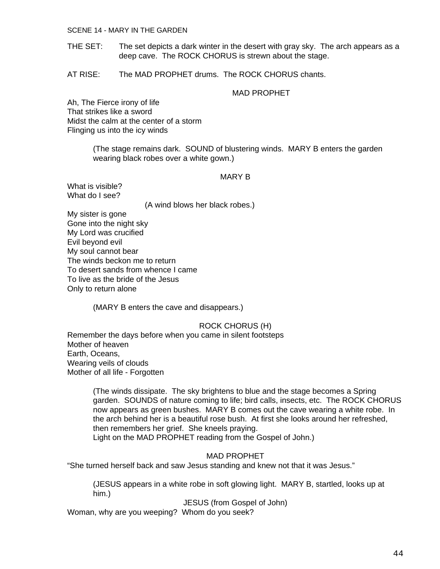#### SCENE 14 - MARY IN THE GARDEN

- THE SET: The set depicts a dark winter in the desert with gray sky. The arch appears as a deep cave. The ROCK CHORUS is strewn about the stage.
- AT RISE: The MAD PROPHET drums. The ROCK CHORUS chants.

## MAD PROPHET

Ah, The Fierce irony of life That strikes like a sword Midst the calm at the center of a storm Flinging us into the icy winds

> (The stage remains dark. SOUND of blustering winds. MARY B enters the garden wearing black robes over a white gown.)

#### MARY B

What is visible? What do I see?

(A wind blows her black robes.)

My sister is gone Gone into the night sky My Lord was crucified Evil beyond evil My soul cannot bear The winds beckon me to return To desert sands from whence I came To live as the bride of the Jesus Only to return alone

(MARY B enters the cave and disappears.)

ROCK CHORUS (H) Remember the days before when you came in silent footsteps Mother of heaven Earth, Oceans, Wearing veils of clouds Mother of all life - Forgotten

> (The winds dissipate. The sky brightens to blue and the stage becomes a Spring garden. SOUNDS of nature coming to life; bird calls, insects, etc. The ROCK CHORUS now appears as green bushes. MARY B comes out the cave wearing a white robe. In the arch behind her is a beautiful rose bush. At first she looks around her refreshed, then remembers her grief. She kneels praying.

Light on the MAD PROPHET reading from the Gospel of John.)

MAD PROPHET

"She turned herself back and saw Jesus standing and knew not that it was Jesus."

(JESUS appears in a white robe in soft glowing light. MARY B, startled, looks up at him.)

JESUS (from Gospel of John)

Woman, why are you weeping? Whom do you seek?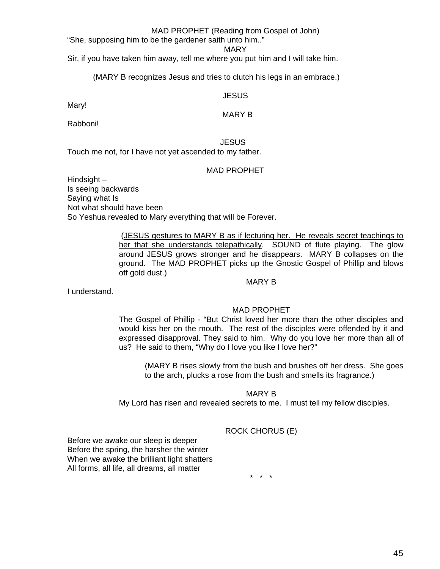## MAD PROPHET (Reading from Gospel of John)

"She, supposing him to be the gardener saith unto him.."

MARY

Sir, if you have taken him away, tell me where you put him and I will take him.

(MARY B recognizes Jesus and tries to clutch his legs in an embrace.)

## **JESUS**

Mary!

## MARY B

Rabboni!

**JESUS** 

Touch me not, for I have not yet ascended to my father.

## MAD PROPHET

Hindsight – Is seeing backwards Saying what Is Not what should have been So Yeshua revealed to Mary everything that will be Forever.

> (JESUS gestures to MARY B as if lecturing her. He reveals secret teachings to her that she understands telepathically. SOUND of flute playing. The glow around JESUS grows stronger and he disappears. MARY B collapses on the ground. The MAD PROPHET picks up the Gnostic Gospel of Phillip and blows off gold dust.)

I understand.

## MAD PROPHET

MARY B

The Gospel of Phillip - "But Christ loved her more than the other disciples and would kiss her on the mouth. The rest of the disciples were offended by it and expressed disapproval. They said to him. Why do you love her more than all of us? He said to them, "Why do I love you like I love her?"

(MARY B rises slowly from the bush and brushes off her dress. She goes to the arch, plucks a rose from the bush and smells its fragrance.)

## MARY B

My Lord has risen and revealed secrets to me. I must tell my fellow disciples.

## ROCK CHORUS (E)

Before we awake our sleep is deeper Before the spring, the harsher the winter When we awake the brilliant light shatters All forms, all life, all dreams, all matter

\* \* \*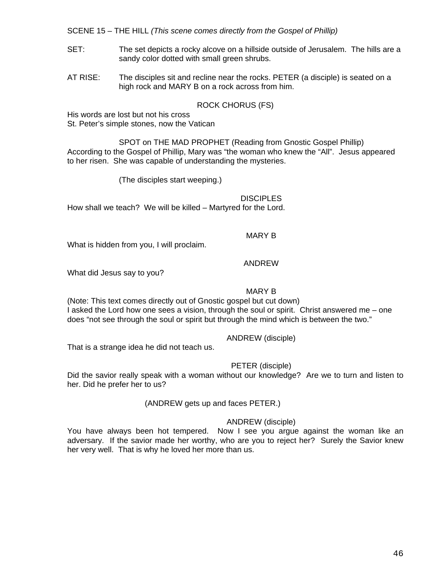SCENE 15 – THE HILL *(This scene comes directly from the Gospel of Phillip)*

- SET: The set depicts a rocky alcove on a hillside outside of Jerusalem. The hills are a sandy color dotted with small green shrubs.
- AT RISE: The disciples sit and recline near the rocks. PETER (a disciple) is seated on a high rock and MARY B on a rock across from him.

## ROCK CHORUS (FS)

His words are lost but not his cross St. Peter's simple stones, now the Vatican

 SPOT on THE MAD PROPHET (Reading from Gnostic Gospel Phillip) According to the Gospel of Phillip, Mary was "the woman who knew the "All". Jesus appeared to her risen. She was capable of understanding the mysteries.

(The disciples start weeping.)

**DISCIPLES** How shall we teach? We will be killed – Martyred for the Lord.

## MARY B

What is hidden from you, I will proclaim.

## ANDREW

What did Jesus say to you?

## MARY B

(Note: This text comes directly out of Gnostic gospel but cut down) I asked the Lord how one sees a vision, through the soul or spirit. Christ answered me – one does "not see through the soul or spirit but through the mind which is between the two."

## ANDREW (disciple)

That is a strange idea he did not teach us.

## PETER (disciple)

Did the savior really speak with a woman without our knowledge? Are we to turn and listen to her. Did he prefer her to us?

## (ANDREW gets up and faces PETER.)

## ANDREW (disciple)

You have always been hot tempered. Now I see you argue against the woman like an adversary. If the savior made her worthy, who are you to reject her? Surely the Savior knew her very well. That is why he loved her more than us.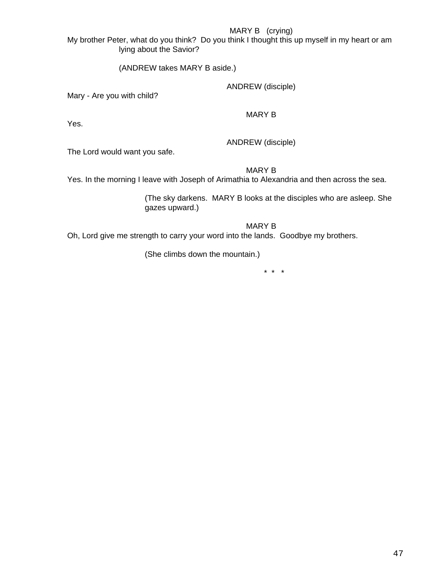# MARY B (crying)

My brother Peter, what do you think? Do you think I thought this up myself in my heart or am lying about the Savior?

(ANDREW takes MARY B aside.)

ANDREW (disciple)

Mary - Are you with child?

MARY B

Yes.

ANDREW (disciple)

The Lord would want you safe.

MARY B

Yes. In the morning I leave with Joseph of Arimathia to Alexandria and then across the sea.

(The sky darkens. MARY B looks at the disciples who are asleep. She gazes upward.)

MARY B

Oh, Lord give me strength to carry your word into the lands. Goodbye my brothers.

(She climbs down the mountain.)

\* \* \*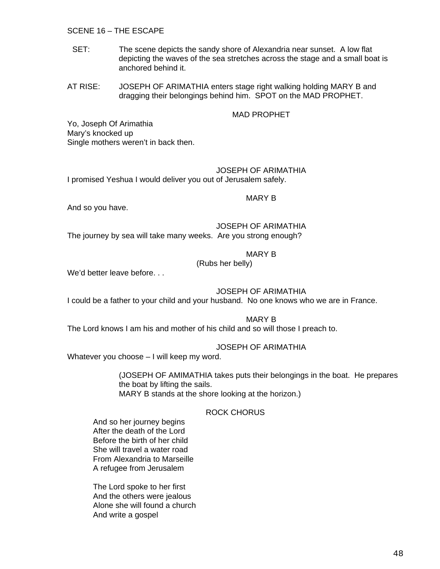## SCENE 16 – THE ESCAPE

- SET: The scene depicts the sandy shore of Alexandria near sunset. A low flat depicting the waves of the sea stretches across the stage and a small boat is anchored behind it.
- AT RISE: JOSEPH OF ARIMATHIA enters stage right walking holding MARY B and dragging their belongings behind him. SPOT on the MAD PROPHET.

## MAD PROPHET

Yo, Joseph Of Arimathia Mary's knocked up Single mothers weren't in back then.

## JOSEPH OF ARIMATHIA

I promised Yeshua I would deliver you out of Jerusalem safely.

#### MARY B

And so you have.

JOSEPH OF ARIMATHIA

The journey by sea will take many weeks. Are you strong enough?

## MARY B

(Rubs her belly)

We'd better leave before. . .

## JOSEPH OF ARIMATHIA

I could be a father to your child and your husband. No one knows who we are in France.

#### MARY B

The Lord knows I am his and mother of his child and so will those I preach to.

## JOSEPH OF ARIMATHIA

Whatever you choose – I will keep my word.

(JOSEPH OF AMIMATHIA takes puts their belongings in the boat. He prepares the boat by lifting the sails. MARY B stands at the shore looking at the horizon.)

## ROCK CHORUS

And so her journey begins After the death of the Lord Before the birth of her child She will travel a water road From Alexandria to Marseille A refugee from Jerusalem

 The Lord spoke to her first And the others were jealous Alone she will found a church And write a gospel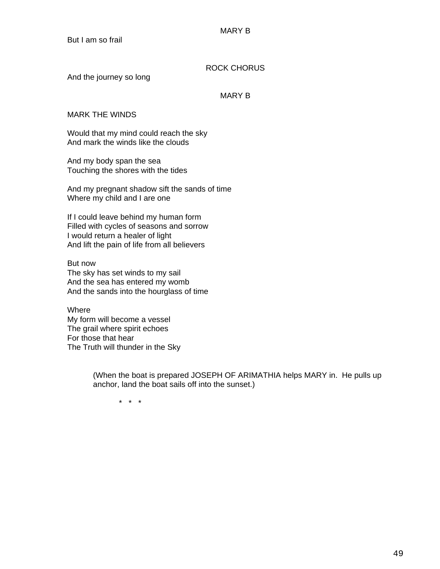# ROCK CHORUS

And the journey so long

## MARY B

## MARK THE WINDS

Would that my mind could reach the sky And mark the winds like the clouds

And my body span the sea Touching the shores with the tides

And my pregnant shadow sift the sands of time Where my child and I are one

If I could leave behind my human form Filled with cycles of seasons and sorrow I would return a healer of light And lift the pain of life from all believers

But now The sky has set winds to my sail And the sea has entered my womb And the sands into the hourglass of time

**Where** My form will become a vessel The grail where spirit echoes For those that hear The Truth will thunder in the Sky

> (When the boat is prepared JOSEPH OF ARIMATHIA helps MARY in. He pulls up anchor, land the boat sails off into the sunset.)

\* \* \*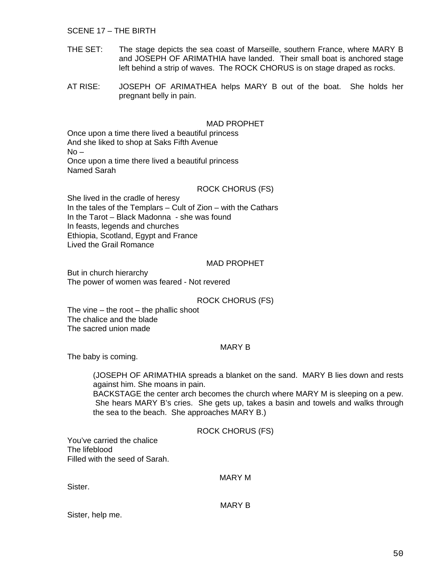SCENE 17 – THE BIRTH

- THE SET: The stage depicts the sea coast of Marseille, southern France, where MARY B and JOSEPH OF ARIMATHIA have landed. Their small boat is anchored stage left behind a strip of waves. The ROCK CHORUS is on stage draped as rocks.
- AT RISE: JOSEPH OF ARIMATHEA helps MARY B out of the boat. She holds her pregnant belly in pain.

#### MAD PROPHET

Once upon a time there lived a beautiful princess And she liked to shop at Saks Fifth Avenue No – Once upon a time there lived a beautiful princess Named Sarah

#### ROCK CHORUS (FS)

She lived in the cradle of heresy In the tales of the Templars – Cult of Zion – with the Cathars In the Tarot – Black Madonna - she was found In feasts, legends and churches Ethiopia, Scotland, Egypt and France Lived the Grail Romance

#### MAD PROPHET

But in church hierarchy The power of women was feared - Not revered

## ROCK CHORUS (FS)

The vine  $-$  the root  $-$  the phallic shoot The chalice and the blade The sacred union made

#### MARY B

The baby is coming.

(JOSEPH OF ARIMATHIA spreads a blanket on the sand. MARY B lies down and rests against him. She moans in pain.

BACKSTAGE the center arch becomes the church where MARY M is sleeping on a pew. She hears MARY B's cries. She gets up, takes a basin and towels and walks through the sea to the beach. She approaches MARY B.)

ROCK CHORUS (FS)

You've carried the chalice The lifeblood Filled with the seed of Sarah.

MARY M

Sister.

MARY B

Sister, help me.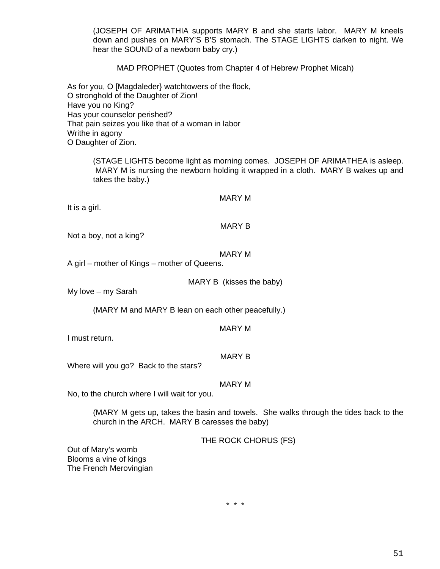(JOSEPH OF ARIMATHIA supports MARY B and she starts labor. MARY M kneels down and pushes on MARY'S B'S stomach. The STAGE LIGHTS darken to night. We hear the SOUND of a newborn baby cry.)

MAD PROPHET (Quotes from Chapter 4 of Hebrew Prophet Micah)

As for you, O [Magdaleder} watchtowers of the flock, O stronghold of the Daughter of Zion! Have you no King? Has your counselor perished? That pain seizes you like that of a woman in labor Writhe in agony O Daughter of Zion.

> (STAGE LIGHTS become light as morning comes. JOSEPH OF ARIMATHEA is asleep. MARY M is nursing the newborn holding it wrapped in a cloth. MARY B wakes up and takes the baby.)

### MARY M

It is a girl.

#### MARY B

Not a boy, not a king?

## MARY M

A girl – mother of Kings – mother of Queens.

MARY B (kisses the baby)

My love – my Sarah

(MARY M and MARY B lean on each other peacefully.)

#### MARY M

I must return.

## MARY B

Where will you go? Back to the stars?

MARY M

No, to the church where I will wait for you.

(MARY M gets up, takes the basin and towels. She walks through the tides back to the church in the ARCH. MARY B caresses the baby)

THE ROCK CHORUS (FS)

Out of Mary's womb Blooms a vine of kings The French Merovingian

\* \* \*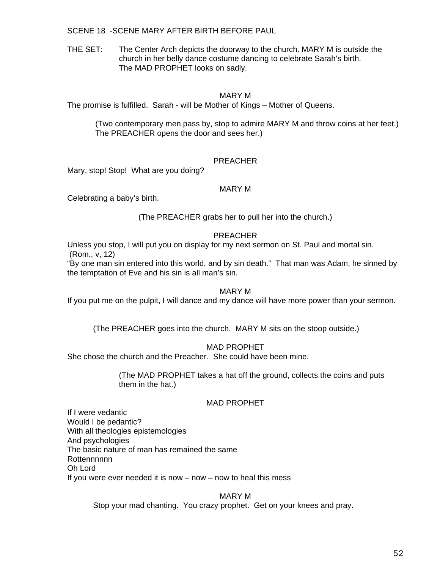SCENE 18 -SCENE MARY AFTER BIRTH BEFORE PAUL

THE SET: The Center Arch depicts the doorway to the church. MARY M is outside the church in her belly dance costume dancing to celebrate Sarah's birth. The MAD PROPHET looks on sadly.

## MARY M

The promise is fulfilled. Sarah - will be Mother of Kings – Mother of Queens.

 (Two contemporary men pass by, stop to admire MARY M and throw coins at her feet.) The PREACHER opens the door and sees her.)

## PREACHER

Mary, stop! Stop! What are you doing?

## MARY M

Celebrating a baby's birth.

(The PREACHER grabs her to pull her into the church.)

## PREACHER

Unless you stop, I will put you on display for my next sermon on St. Paul and mortal sin. (Rom., v, 12)

"By one man sin entered into this world, and by sin death." That man was Adam, he sinned by the temptation of Eve and his sin is all man's sin.

## MARY M

If you put me on the pulpit, I will dance and my dance will have more power than your sermon.

(The PREACHER goes into the church. MARY M sits on the stoop outside.)

MAD PROPHET

She chose the church and the Preacher. She could have been mine.

(The MAD PROPHET takes a hat off the ground, collects the coins and puts them in the hat.)

## MAD PROPHET

If I were vedantic Would I be pedantic? With all theologies epistemologies And psychologies The basic nature of man has remained the same **Rottennnnnn** Oh Lord If you were ever needed it is now – now – now to heal this mess

> MARY M Stop your mad chanting. You crazy prophet. Get on your knees and pray.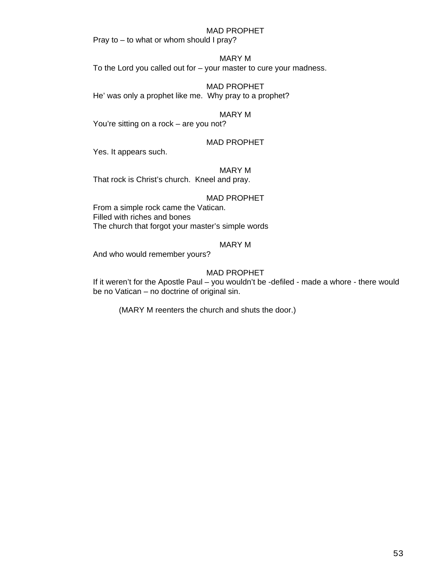### MAD PROPHET

Pray to – to what or whom should I pray?

#### MARY M

To the Lord you called out for – your master to cure your madness.

MAD PROPHET He' was only a prophet like me. Why pray to a prophet?

## MARY M

You're sitting on a rock – are you not?

## MAD PROPHET

Yes. It appears such.

## MARY M

That rock is Christ's church. Kneel and pray.

#### MAD PROPHET

From a simple rock came the Vatican. Filled with riches and bones The church that forgot your master's simple words

## MARY M

And who would remember yours?

## MAD PROPHET

If it weren't for the Apostle Paul – you wouldn't be -defiled - made a whore - there would be no Vatican – no doctrine of original sin.

(MARY M reenters the church and shuts the door.)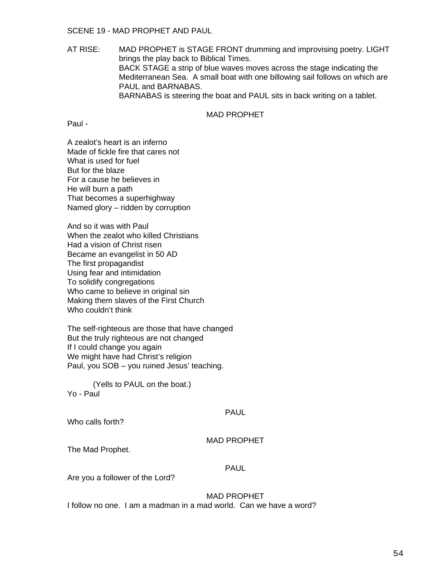## SCENE 19 - MAD PROPHET AND PAUL

AT RISE: MAD PROPHET is STAGE FRONT drumming and improvising poetry. LIGHT brings the play back to Biblical Times. BACK STAGE a strip of blue waves moves across the stage indicating the Mediterranean Sea. A small boat with one billowing sail follows on which are PAUL and BARNABAS. BARNABAS is steering the boat and PAUL sits in back writing on a tablet.

# MAD PROPHET

Paul -

A zealot's heart is an inferno Made of fickle fire that cares not What is used for fuel But for the blaze For a cause he believes in He will burn a path That becomes a superhighway Named glory – ridden by corruption

And so it was with Paul When the zealot who killed Christians Had a vision of Christ risen Became an evangelist in 50 AD The first propagandist Using fear and intimidation To solidify congregations Who came to believe in original sin Making them slaves of the First Church Who couldn't think

The self-righteous are those that have changed But the truly righteous are not changed If I could change you again We might have had Christ's religion Paul, you SOB – you ruined Jesus' teaching.

 (Yells to PAUL on the boat.) Yo - Paul

PAUL

Who calls forth?

## MAD PROPHET

The Mad Prophet.

## PAUL

Are you a follower of the Lord?

## MAD PROPHET

I follow no one. I am a madman in a mad world. Can we have a word?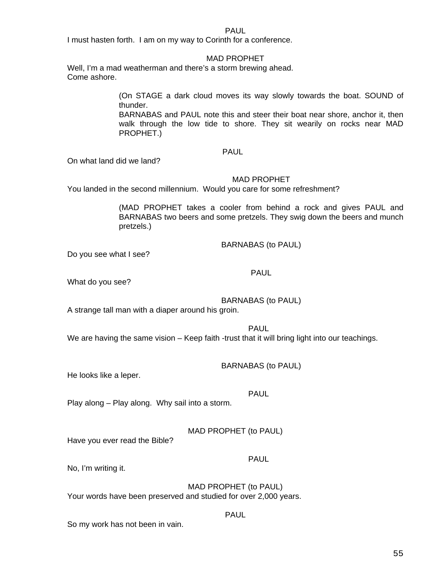PAUL

I must hasten forth. I am on my way to Corinth for a conference.

## MAD PROPHET

Well, I'm a mad weatherman and there's a storm brewing ahead. Come ashore.

> (On STAGE a dark cloud moves its way slowly towards the boat. SOUND of thunder.

> BARNABAS and PAUL note this and steer their boat near shore, anchor it, then walk through the low tide to shore. They sit wearily on rocks near MAD PROPHET.)

## PAUL

On what land did we land?

## MAD PROPHET

You landed in the second millennium. Would you care for some refreshment?

(MAD PROPHET takes a cooler from behind a rock and gives PAUL and BARNABAS two beers and some pretzels. They swig down the beers and munch pretzels.)

BARNABAS (to PAUL)

Do you see what I see?

What do you see?

# BARNABAS (to PAUL)

PAUL

A strange tall man with a diaper around his groin.

PAUL

We are having the same vision – Keep faith -trust that it will bring light into our teachings.

BARNABAS (to PAUL)

He looks like a leper.

PAUL

Play along – Play along. Why sail into a storm.

MAD PROPHET (to PAUL)

Have you ever read the Bible?

# PAUL

No, I'm writing it.

MAD PROPHET (to PAUL) Your words have been preserved and studied for over 2,000 years.

## PAUL

So my work has not been in vain.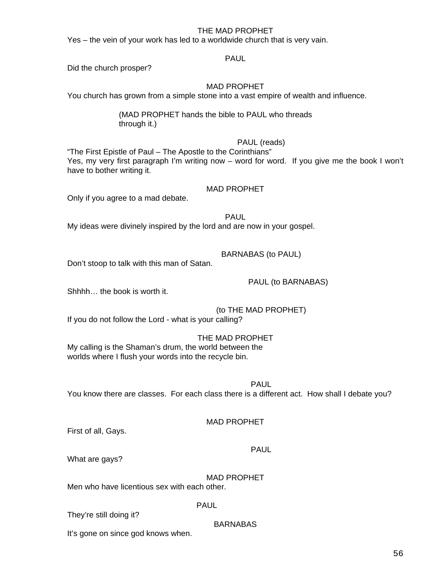## THE MAD PROPHET

Yes – the vein of your work has led to a worldwide church that is very vain.

## PAUL

Did the church prosper?

## MAD PROPHET

You church has grown from a simple stone into a vast empire of wealth and influence.

# (MAD PROPHET hands the bible to PAUL who threads through it.)

# PAUL (reads)

"The First Epistle of Paul – The Apostle to the Corinthians" Yes, my very first paragraph I'm writing now – word for word. If you give me the book I won't have to bother writing it.

## MAD PROPHET

Only if you agree to a mad debate.

PAUL My ideas were divinely inspired by the lord and are now in your gospel.

# BARNABAS (to PAUL)

Don't stoop to talk with this man of Satan.

Shhhh… the book is worth it.

PAUL (to BARNABAS)

 (to THE MAD PROPHET) If you do not follow the Lord - what is your calling?

## THE MAD PROPHET My calling is the Shaman's drum, the world between the worlds where I flush your words into the recycle bin.

PAUL You know there are classes. For each class there is a different act. How shall I debate you?

## MAD PROPHET

BARNABAS

First of all, Gays.

PAUL

What are gays?

MAD PROPHET Men who have licentious sex with each other.

## PAUL

They're still doing it?

It's gone on since god knows when.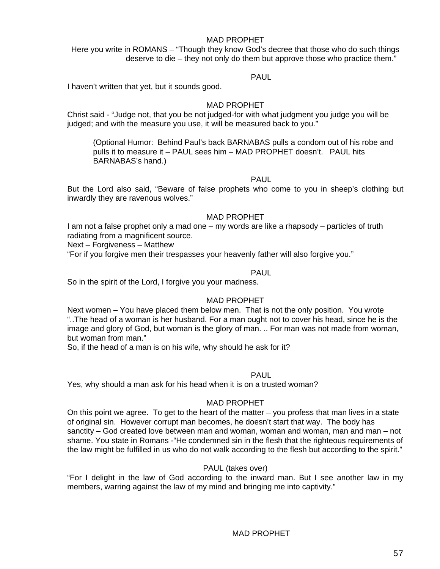## MAD PROPHET

Here you write in ROMANS – "Though they know God's decree that those who do such things deserve to die – they not only do them but approve those who practice them."

## PAUL

I haven't written that yet, but it sounds good.

## MAD PROPHET

Christ said - "Judge not, that you be not judged-for with what judgment you judge you will be judged; and with the measure you use, it will be measured back to you."

(Optional Humor: Behind Paul's back BARNABAS pulls a condom out of his robe and pulls it to measure it – PAUL sees him – MAD PROPHET doesn't. PAUL hits BARNABAS's hand.)

## PAUL

But the Lord also said, "Beware of false prophets who come to you in sheep's clothing but inwardly they are ravenous wolves."

## MAD PROPHET

I am not a false prophet only a mad one – my words are like a rhapsody – particles of truth radiating from a magnificent source.

Next – Forgiveness – Matthew

"For if you forgive men their trespasses your heavenly father will also forgive you."

## PAUL

So in the spirit of the Lord, I forgive you your madness.

## MAD PROPHET

Next women – You have placed them below men. That is not the only position. You wrote "..The head of a woman is her husband. For a man ought not to cover his head, since he is the image and glory of God, but woman is the glory of man. .. For man was not made from woman, but woman from man."

So, if the head of a man is on his wife, why should he ask for it?

## PAUL

Yes, why should a man ask for his head when it is on a trusted woman?

## MAD PROPHET

On this point we agree. To get to the heart of the matter – you profess that man lives in a state of original sin. However corrupt man becomes, he doesn't start that way. The body has sanctity – God created love between man and woman, woman and woman, man and man – not shame. You state in Romans -"He condemned sin in the flesh that the righteous requirements of the law might be fulfilled in us who do not walk according to the flesh but according to the spirit."

## PAUL (takes over)

"For I delight in the law of God according to the inward man. But I see another law in my members, warring against the law of my mind and bringing me into captivity."

## MAD PROPHET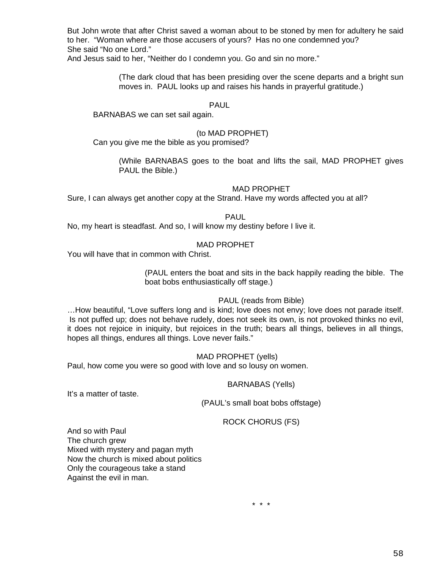But John wrote that after Christ saved a woman about to be stoned by men for adultery he said to her. "Woman where are those accusers of yours? Has no one condemned you? She said "No one Lord."

And Jesus said to her, "Neither do I condemn you. Go and sin no more."

(The dark cloud that has been presiding over the scene departs and a bright sun moves in. PAUL looks up and raises his hands in prayerful gratitude.)

## PAUL

BARNABAS we can set sail again.

## (to MAD PROPHET)

Can you give me the bible as you promised?

(While BARNABAS goes to the boat and lifts the sail, MAD PROPHET gives PAUL the Bible.)

## MAD PROPHET

Sure, I can always get another copy at the Strand. Have my words affected you at all?

PAUL

No, my heart is steadfast. And so, I will know my destiny before I live it.

## MAD PROPHET

You will have that in common with Christ.

(PAUL enters the boat and sits in the back happily reading the bible. The boat bobs enthusiastically off stage.)

## PAUL (reads from Bible)

…How beautiful, "Love suffers long and is kind; love does not envy; love does not parade itself. Is not puffed up; does not behave rudely, does not seek its own, is not provoked thinks no evil, it does not rejoice in iniquity, but rejoices in the truth; bears all things, believes in all things, hopes all things, endures all things. Love never fails."

## MAD PROPHET (yells)

Paul, how come you were so good with love and so lousy on women.

## BARNABAS (Yells)

It's a matter of taste.

(PAUL's small boat bobs offstage)

## ROCK CHORUS (FS)

And so with Paul The church grew Mixed with mystery and pagan myth Now the church is mixed about politics Only the courageous take a stand Against the evil in man.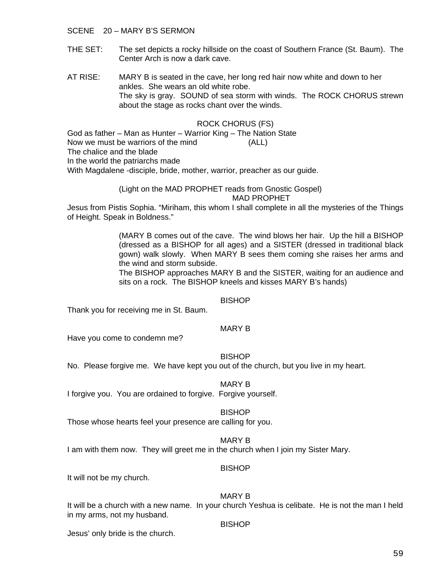## SCENE 20 – MARY B'S SERMON

- THE SET: The set depicts a rocky hillside on the coast of Southern France (St. Baum). The Center Arch is now a dark cave.
- AT RISE: MARY B is seated in the cave, her long red hair now white and down to her ankles. She wears an old white robe. The sky is gray. SOUND of sea storm with winds. The ROCK CHORUS strewn about the stage as rocks chant over the winds.

## ROCK CHORUS (FS)

God as father – Man as Hunter – Warrior King – The Nation State Now we must be warriors of the mind (ALL) The chalice and the blade In the world the patriarchs made With Magdalene -disciple, bride, mother, warrior, preacher as our guide.

> (Light on the MAD PROPHET reads from Gnostic Gospel) MAD PROPHET

Jesus from Pistis Sophia. "Miriham, this whom I shall complete in all the mysteries of the Things of Height. Speak in Boldness."

> (MARY B comes out of the cave. The wind blows her hair. Up the hill a BISHOP (dressed as a BISHOP for all ages) and a SISTER (dressed in traditional black gown) walk slowly. When MARY B sees them coming she raises her arms and the wind and storm subside.

> The BISHOP approaches MARY B and the SISTER, waiting for an audience and sits on a rock. The BISHOP kneels and kisses MARY B's hands)

## **BISHOP**

Thank you for receiving me in St. Baum.

#### MARY B

Have you come to condemn me?

## **BISHOP**

No. Please forgive me. We have kept you out of the church, but you live in my heart.

## MARY B

I forgive you. You are ordained to forgive. Forgive yourself.

#### BISHOP

Those whose hearts feel your presence are calling for you.

## MARY B

I am with them now. They will greet me in the church when I join my Sister Mary.

#### **BISHOP**

It will not be my church.

## MARY B

It will be a church with a new name. In your church Yeshua is celibate. He is not the man I held in my arms, not my husband.

#### **BISHOP**

Jesus' only bride is the church.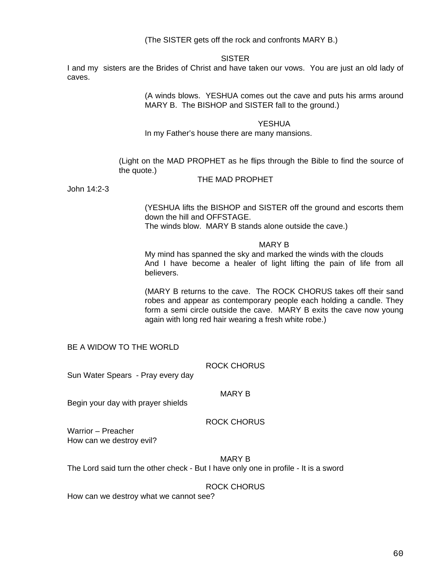(The SISTER gets off the rock and confronts MARY B.)

## SISTER

I and my sisters are the Brides of Christ and have taken our vows. You are just an old lady of caves.

> (A winds blows. YESHUA comes out the cave and puts his arms around MARY B. The BISHOP and SISTER fall to the ground.)

#### YESHUA

In my Father's house there are many mansions.

(Light on the MAD PROPHET as he flips through the Bible to find the source of the quote.)

#### THE MAD PROPHET

John 14:2-3

(YESHUA lifts the BISHOP and SISTER off the ground and escorts them down the hill and OFFSTAGE. The winds blow. MARY B stands alone outside the cave.)

MARY B

My mind has spanned the sky and marked the winds with the clouds And I have become a healer of light lifting the pain of life from all believers.

(MARY B returns to the cave. The ROCK CHORUS takes off their sand robes and appear as contemporary people each holding a candle. They form a semi circle outside the cave. MARY B exits the cave now young again with long red hair wearing a fresh white robe.)

BE A WIDOW TO THE WORLD

ROCK CHORUS

Sun Water Spears - Pray every day

## MARY B

Begin your day with prayer shields

## ROCK CHORUS

Warrior – Preacher How can we destroy evil?

MARY B

The Lord said turn the other check - But I have only one in profile - It is a sword

## ROCK CHORUS

How can we destroy what we cannot see?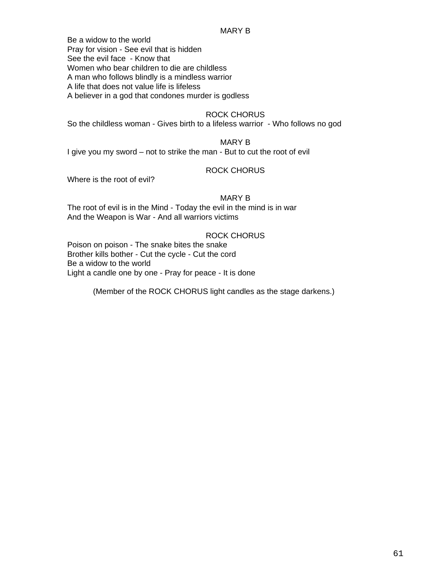### MARY B

Be a widow to the world Pray for vision - See evil that is hidden See the evil face - Know that Women who bear children to die are childless A man who follows blindly is a mindless warrior A life that does not value life is lifeless

A believer in a god that condones murder is godless

## ROCK CHORUS

So the childless woman - Gives birth to a lifeless warrior - Who follows no god

# MARY B

I give you my sword – not to strike the man - But to cut the root of evil

## ROCK CHORUS

Where is the root of evil?

## MARY B

The root of evil is in the Mind - Today the evil in the mind is in war And the Weapon is War - And all warriors victims

## ROCK CHORUS

Poison on poison - The snake bites the snake Brother kills bother - Cut the cycle - Cut the cord Be a widow to the world Light a candle one by one - Pray for peace - It is done

(Member of the ROCK CHORUS light candles as the stage darkens.)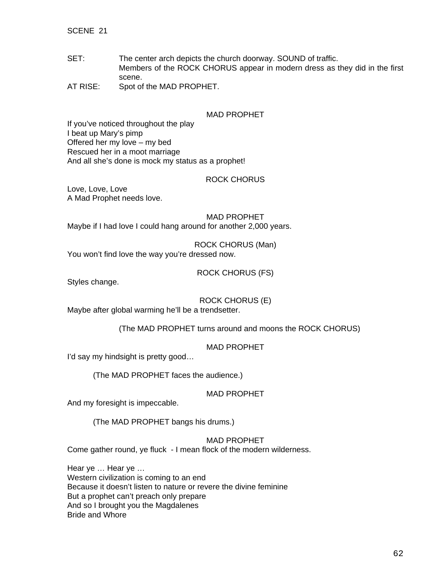SCENE 21

- SET: The center arch depicts the church doorway. SOUND of traffic. Members of the ROCK CHORUS appear in modern dress as they did in the first scene.
- AT RISE: Spot of the MAD PROPHET.

## MAD PROPHET

If you've noticed throughout the play I beat up Mary's pimp Offered her my love – my bed Rescued her in a moot marriage And all she's done is mock my status as a prophet!

## ROCK CHORUS

Love, Love, Love A Mad Prophet needs love.

MAD PROPHET Maybe if I had love I could hang around for another 2,000 years.

ROCK CHORUS (Man) You won't find love the way you're dressed now.

ROCK CHORUS (FS)

Styles change.

ROCK CHORUS (E)

Maybe after global warming he'll be a trendsetter.

(The MAD PROPHET turns around and moons the ROCK CHORUS)

MAD PROPHET

I'd say my hindsight is pretty good…

(The MAD PROPHET faces the audience.)

MAD PROPHET

And my foresight is impeccable.

(The MAD PROPHET bangs his drums.)

## MAD PROPHET

Come gather round, ye fluck - I mean flock of the modern wilderness.

Hear ye … Hear ye … Western civilization is coming to an end Because it doesn't listen to nature or revere the divine feminine But a prophet can't preach only prepare And so I brought you the Magdalenes Bride and Whore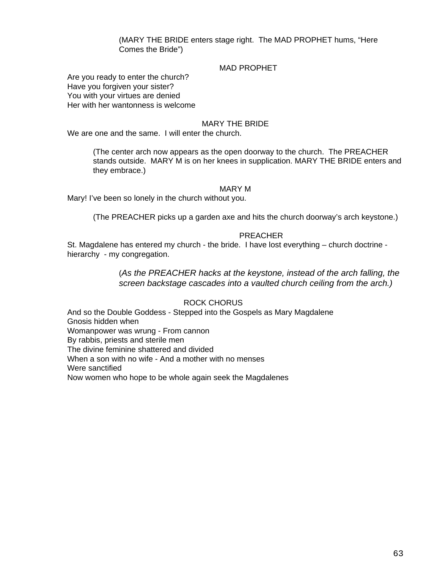(MARY THE BRIDE enters stage right. The MAD PROPHET hums, "Here Comes the Bride")

## MAD PROPHET

Are you ready to enter the church? Have you forgiven your sister? You with your virtues are denied Her with her wantonness is welcome

## MARY THE BRIDE

We are one and the same. I will enter the church.

(The center arch now appears as the open doorway to the church. The PREACHER stands outside. MARY M is on her knees in supplication. MARY THE BRIDE enters and they embrace.)

#### MARY M

Mary! I've been so lonely in the church without you.

(The PREACHER picks up a garden axe and hits the church doorway's arch keystone.)

#### PREACHER

St. Magdalene has entered my church - the bride. I have lost everything – church doctrine hierarchy - my congregation.

> (*As the PREACHER hacks at the keystone, instead of the arch falling, the screen backstage cascades into a vaulted church ceiling from the arch.)*

## ROCK CHORUS

And so the Double Goddess - Stepped into the Gospels as Mary Magdalene Gnosis hidden when Womanpower was wrung - From cannon By rabbis, priests and sterile men The divine feminine shattered and divided When a son with no wife - And a mother with no menses Were sanctified Now women who hope to be whole again seek the Magdalenes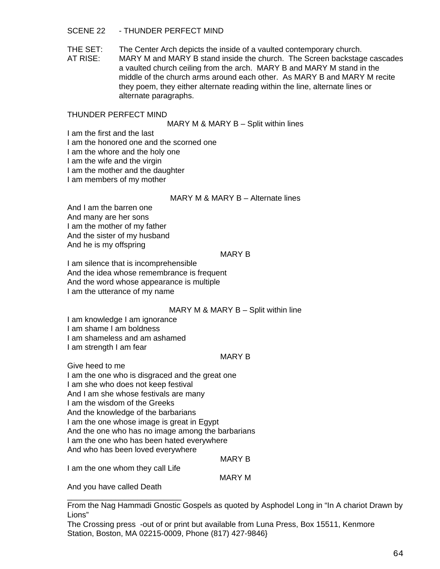## SCENE 22 - THUNDER PERFECT MIND

THE SET: The Center Arch depicts the inside of a vaulted contemporary church.

AT RISE: MARY M and MARY B stand inside the church. The Screen backstage cascades a vaulted church ceiling from the arch. MARY B and MARY M stand in the middle of the church arms around each other. As MARY B and MARY M recite they poem, they either alternate reading within the line, alternate lines or alternate paragraphs.

## THUNDER PERFECT MIND

MARY M & MARY B - Split within lines

I am the first and the last

I am the honored one and the scorned one

I am the whore and the holy one

I am the wife and the virgin

I am the mother and the daughter

I am members of my mother

## MARY M & MARY B – Alternate lines

And I am the barren one And many are her sons I am the mother of my father And the sister of my husband And he is my offspring

## MARY B

I am silence that is incomprehensible And the idea whose remembrance is frequent And the word whose appearance is multiple I am the utterance of my name

## MARY M & MARY B – Split within line

I am knowledge I am ignorance

I am shame I am boldness

I am shameless and am ashamed

I am strength I am fear

## MARY B

Give heed to me I am the one who is disgraced and the great one I am she who does not keep festival And I am she whose festivals are many I am the wisdom of the Greeks And the knowledge of the barbarians I am the one whose image is great in Egypt And the one who has no image among the barbarians I am the one who has been hated everywhere

And who has been loved everywhere

## MARY B

I am the one whom they call Life

\_\_\_\_\_\_\_\_\_\_\_\_\_\_\_\_\_\_\_\_\_\_\_\_\_\_

MARY M

And you have called Death

From the Nag Hammadi Gnostic Gospels as quoted by Asphodel Long in "In A chariot Drawn by Lions"

The Crossing press -out of or print but available from Luna Press, Box 15511, Kenmore Station, Boston, MA 02215-0009, Phone (817) 427-9846}